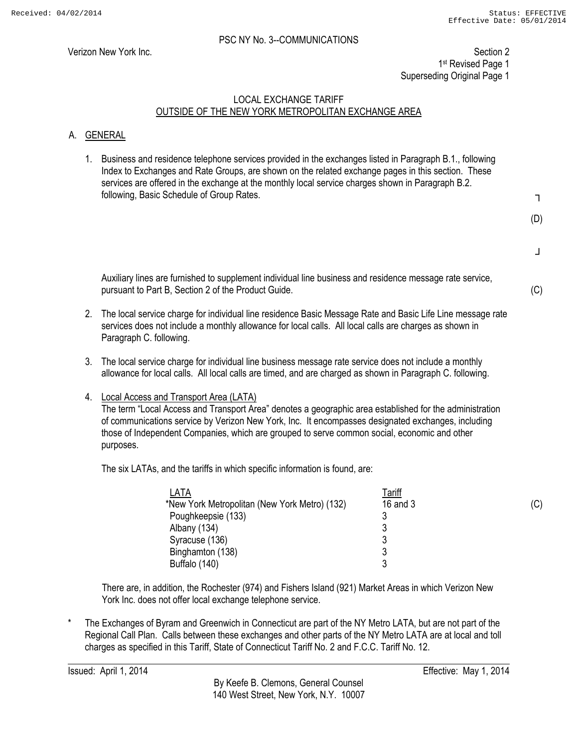Verizon New York Inc. Section 2 1st Revised Page 1 Superseding Original Page 1

# LOCAL EXCHANGE TARIFF OUTSIDE OF THE NEW YORK METROPOLITAN EXCHANGE AREA

# A. GENERAL

1. Business and residence telephone services provided in the exchanges listed in Paragraph B.1., following Index to Exchanges and Rate Groups, are shown on the related exchange pages in this section. These services are offered in the exchange at the monthly local service charges shown in Paragraph B.2. following, Basic Schedule of Group Rates.

┐

(D)

┘

(C)

(C)

Auxiliary lines are furnished to supplement individual line business and residence message rate service, pursuant to Part B, Section 2 of the Product Guide.

- 2. The local service charge for individual line residence Basic Message Rate and Basic Life Line message rate services does not include a monthly allowance for local calls. All local calls are charges as shown in Paragraph C. following.
- 3. The local service charge for individual line business message rate service does not include a monthly allowance for local calls. All local calls are timed, and are charged as shown in Paragraph C. following.
- 4. Local Access and Transport Area (LATA)

The term "Local Access and Transport Area" denotes a geographic area established for the administration of communications service by Verizon New York, Inc. It encompasses designated exchanges, including those of Independent Companies, which are grouped to serve common social, economic and other purposes.

The six LATAs, and the tariffs in which specific information is found, are:

| LATA                                          | <u>Tariff</u> |  |
|-----------------------------------------------|---------------|--|
| *New York Metropolitan (New York Metro) (132) | 16 and 3      |  |
| Poughkeepsie (133)                            |               |  |
| Albany (134)                                  | N             |  |
| Syracuse (136)                                | ാ<br>J        |  |
| Binghamton (138)                              |               |  |
| Buffalo (140)                                 |               |  |

There are, in addition, the Rochester (974) and Fishers Island (921) Market Areas in which Verizon New York Inc. does not offer local exchange telephone service.

The Exchanges of Byram and Greenwich in Connecticut are part of the NY Metro LATA, but are not part of the Regional Call Plan. Calls between these exchanges and other parts of the NY Metro LATA are at local and toll charges as specified in this Tariff, State of Connecticut Tariff No. 2 and F.C.C. Tariff No. 12.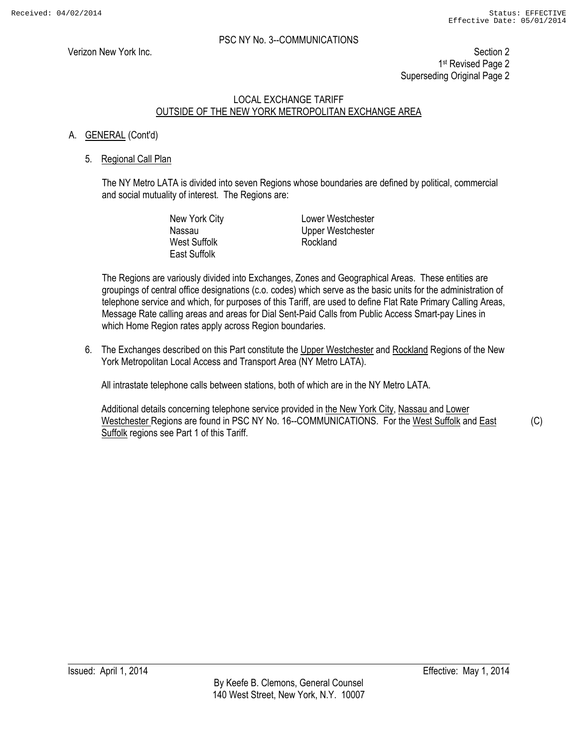Verizon New York Inc. Section 2 1st Revised Page 2 Superseding Original Page 2

#### LOCAL EXCHANGE TARIFF OUTSIDE OF THE NEW YORK METROPOLITAN EXCHANGE AREA

#### A. GENERAL (Cont'd)

#### 5. Regional Call Plan

The NY Metro LATA is divided into seven Regions whose boundaries are defined by political, commercial and social mutuality of interest. The Regions are:

> West Suffolk **Rockland** East Suffolk

New York City **Lower Westchester** Nassau Upper Westchester

The Regions are variously divided into Exchanges, Zones and Geographical Areas. These entities are groupings of central office designations (c.o. codes) which serve as the basic units for the administration of telephone service and which, for purposes of this Tariff, are used to define Flat Rate Primary Calling Areas, Message Rate calling areas and areas for Dial Sent-Paid Calls from Public Access Smart-pay Lines in which Home Region rates apply across Region boundaries.

6. The Exchanges described on this Part constitute the Upper Westchester and Rockland Regions of the New York Metropolitan Local Access and Transport Area (NY Metro LATA).

All intrastate telephone calls between stations, both of which are in the NY Metro LATA.

Additional details concerning telephone service provided in the New York City, Nassau and Lower Westchester Regions are found in PSC NY No. 16--COMMUNICATIONS. For the West Suffolk and East Suffolk regions see Part 1 of this Tariff.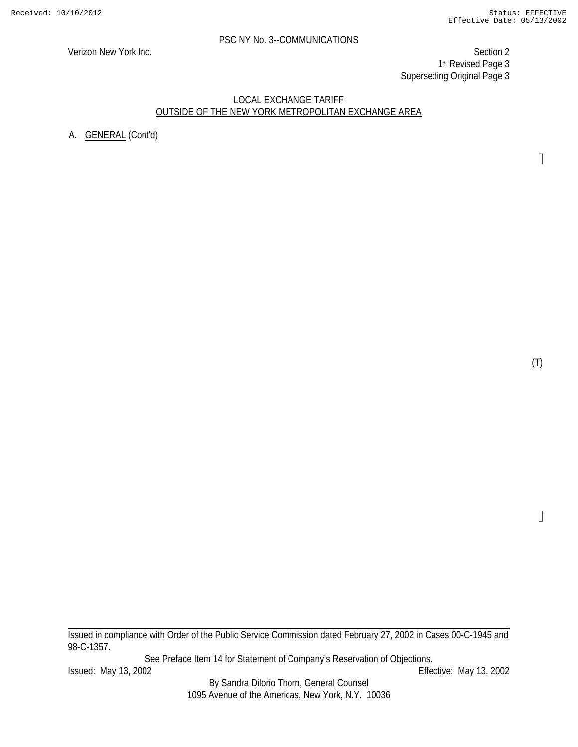Verizon New York Inc. Section 2 1st Revised Page 3 Superseding Original Page 3

#### LOCAL EXCHANGE TARIFF OUTSIDE OF THE NEW YORK METROPOLITAN EXCHANGE AREA

A. GENERAL (Cont'd)

(T)

 $\perp$ 

 $\overline{\phantom{a}}$ 

Issued in compliance with Order of the Public Service Commission dated February 27, 2002 in Cases 00-C-1945 and 98-C-1357.

See Preface Item 14 for Statement of Company's Reservation of Objections.

By Sandra Dilorio Thorn, General Counsel 1095 Avenue of the Americas, New York, N.Y. 10036

Issued: May 13, 2002 Effective: May 13, 2002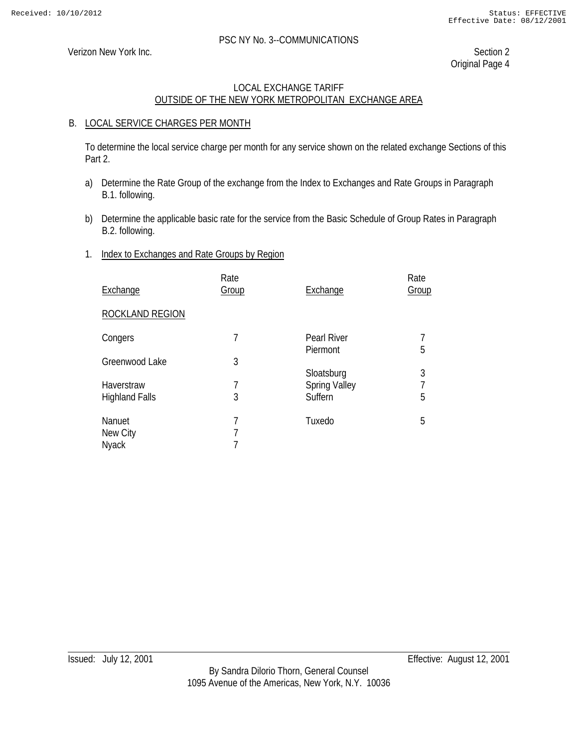Verizon New York Inc. Section 2

Original Page 4

# LOCAL EXCHANGE TARIFF OUTSIDE OF THE NEW YORK METROPOLITAN EXCHANGE AREA

#### B. LOCAL SERVICE CHARGES PER MONTH

To determine the local service charge per month for any service shown on the related exchange Sections of this Part 2.

- a) Determine the Rate Group of the exchange from the Index to Exchanges and Rate Groups in Paragraph B.1. following.
- b) Determine the applicable basic rate for the service from the Basic Schedule of Group Rates in Paragraph B.2. following.

#### 1. Index to Exchanges and Rate Groups by Region

| Exchange                            | Rate<br>Group | Exchange                        | Rate<br>Group |
|-------------------------------------|---------------|---------------------------------|---------------|
| ROCKLAND REGION                     |               |                                 |               |
| Congers                             | 7             | <b>Pearl River</b><br>Piermont  | 5             |
| Greenwood Lake                      | 3             | Sloatsburg                      | 3             |
| Haverstraw<br><b>Highland Falls</b> | 7<br>3        | <b>Spring Valley</b><br>Suffern | 5             |
| Nanuet<br>New City<br><b>Nyack</b>  | 7<br>7        | Tuxedo                          | 5             |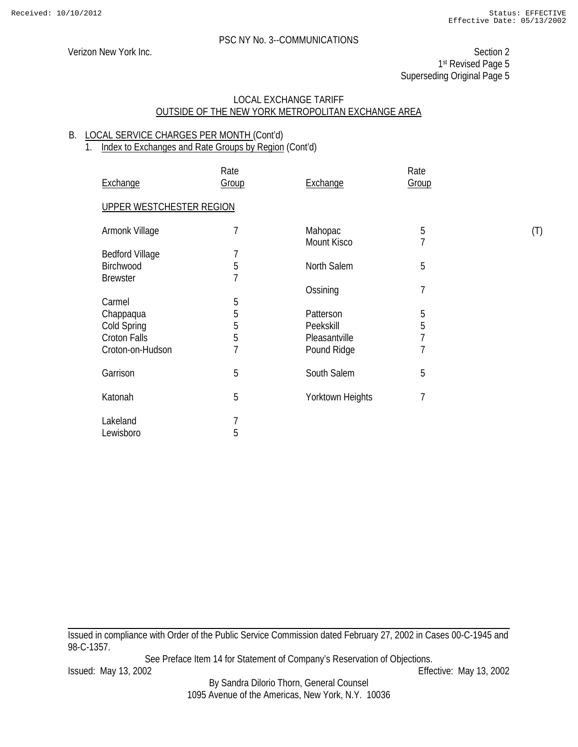Verizon New York Inc. Section 2 1st Revised Page 5 Superseding Original Page 5

#### LOCAL EXCHANGE TARIFF OUTSIDE OF THE NEW YORK METROPOLITAN EXCHANGE AREA

#### B. LOCAL SERVICE CHARGES PER MONTH (Cont'd)

# 1. Index to Exchanges and Rate Groups by Region (Cont'd)

| Exchange                     | Rate<br>Group | Exchange               | Rate<br>Group       |     |
|------------------------------|---------------|------------------------|---------------------|-----|
| UPPER WESTCHESTER REGION     |               |                        |                     |     |
| Armonk Village               | 7             | Mahopac<br>Mount Kisco | 5<br>$\overline{1}$ | (T) |
| <b>Bedford Village</b>       |               |                        |                     |     |
| Birchwood<br><b>Brewster</b> | 5<br>7        | North Salem            | 5                   |     |
|                              |               | Ossining               | 7                   |     |
| Carmel                       | 5             |                        |                     |     |
| Chappaqua                    | 5             | Patterson              | 5                   |     |
| Cold Spring                  | 5             | Peekskill              | 5                   |     |
| <b>Croton Falls</b>          | 5             | Pleasantville          | 7                   |     |
| Croton-on-Hudson             | 7             | Pound Ridge            | 7                   |     |
| Garrison                     | 5             | South Salem            | 5                   |     |
| Katonah                      | 5             | Yorktown Heights       | 7                   |     |
| Lakeland<br>Lewisboro        | 7<br>5        |                        |                     |     |

Issued in compliance with Order of the Public Service Commission dated February 27, 2002 in Cases 00-C-1945 and 98-C-1357.

See Preface Item 14 for Statement of Company's Reservation of Objections.

By Sandra Dilorio Thorn, General Counsel 1095 Avenue of the Americas, New York, N.Y. 10036

Issued: May 13, 2002 Effective: May 13, 2002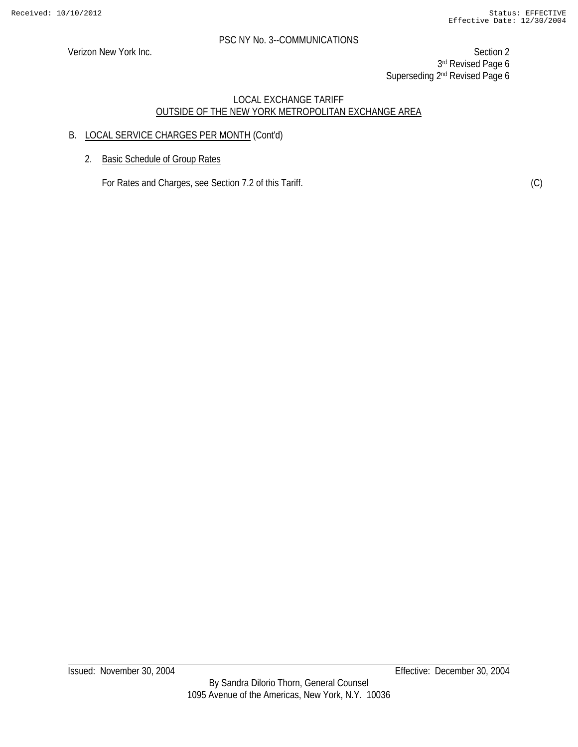Verizon New York Inc. Section 2 3rd Revised Page 6 Superseding 2<sup>nd</sup> Revised Page 6

# LOCAL EXCHANGE TARIFF OUTSIDE OF THE NEW YORK METROPOLITAN EXCHANGE AREA

# B. LOCAL SERVICE CHARGES PER MONTH (Cont'd)

2. Basic Schedule of Group Rates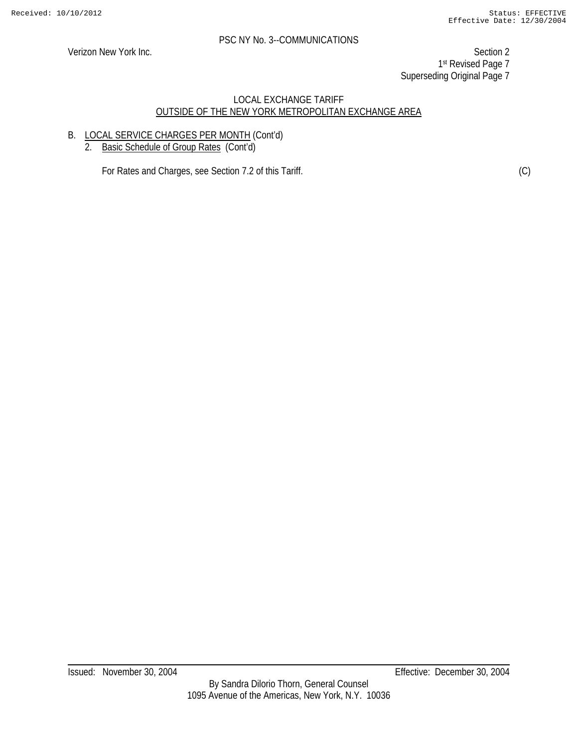Verizon New York Inc. Section 2 1st Revised Page 7 Superseding Original Page 7

#### LOCAL EXCHANGE TARIFF OUTSIDE OF THE NEW YORK METROPOLITAN EXCHANGE AREA

# B. LOCAL SERVICE CHARGES PER MONTH (Cont'd)

2. Basic Schedule of Group Rates (Cont'd)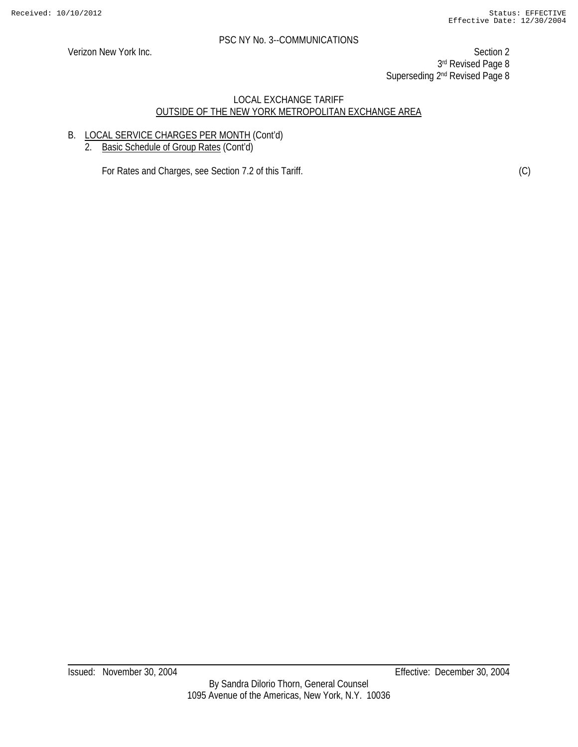Verizon New York Inc. Section 2 3rd Revised Page 8 Superseding 2<sup>nd</sup> Revised Page 8

#### LOCAL EXCHANGE TARIFF OUTSIDE OF THE NEW YORK METROPOLITAN EXCHANGE AREA

# B. LOCAL SERVICE CHARGES PER MONTH (Cont'd)

2. Basic Schedule of Group Rates (Cont'd)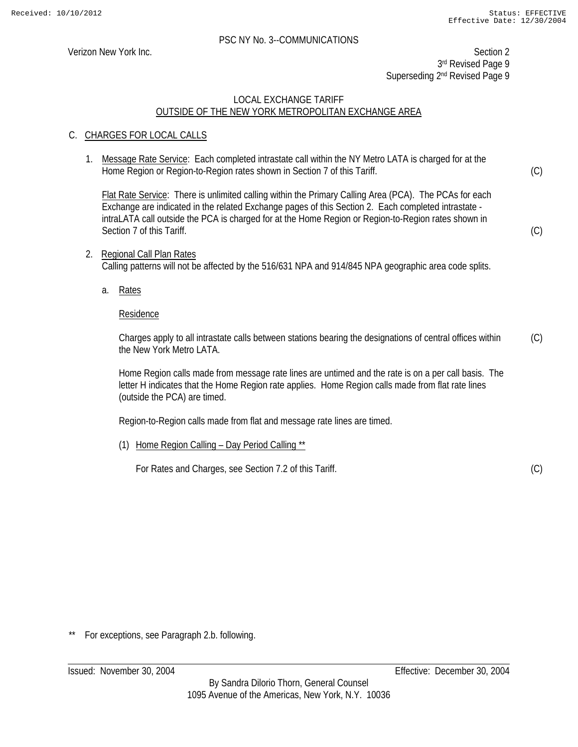Verizon New York Inc. Section 2 3rd Revised Page 9 Superseding 2<sup>nd</sup> Revised Page 9

# LOCAL EXCHANGE TARIFF OUTSIDE OF THE NEW YORK METROPOLITAN EXCHANGE AREA

# C. CHARGES FOR LOCAL CALLS

1. Message Rate Service: Each completed intrastate call within the NY Metro LATA is charged for at the Home Region or Region-to-Region rates shown in Section 7 of this Tariff.

 Flat Rate Service: There is unlimited calling within the Primary Calling Area (PCA). The PCAs for each Exchange are indicated in the related Exchange pages of this Section 2. Each completed intrastate intraLATA call outside the PCA is charged for at the Home Region or Region-to-Region rates shown in Section 7 of this Tariff.

- 2. Regional Call Plan Rates Calling patterns will not be affected by the 516/631 NPA and 914/845 NPA geographic area code splits.
	- a. Rates

#### Residence

Charges apply to all intrastate calls between stations bearing the designations of central offices within the New York Metro LATA (C)

Home Region calls made from message rate lines are untimed and the rate is on a per call basis. The letter H indicates that the Home Region rate applies. Home Region calls made from flat rate lines (outside the PCA) are timed.

Region-to-Region calls made from flat and message rate lines are timed.

(1) Home Region Calling – Day Period Calling \*\*

For Rates and Charges, see Section 7.2 of this Tariff.

(C)

(C)

(C)

For exceptions, see Paragraph 2.b. following.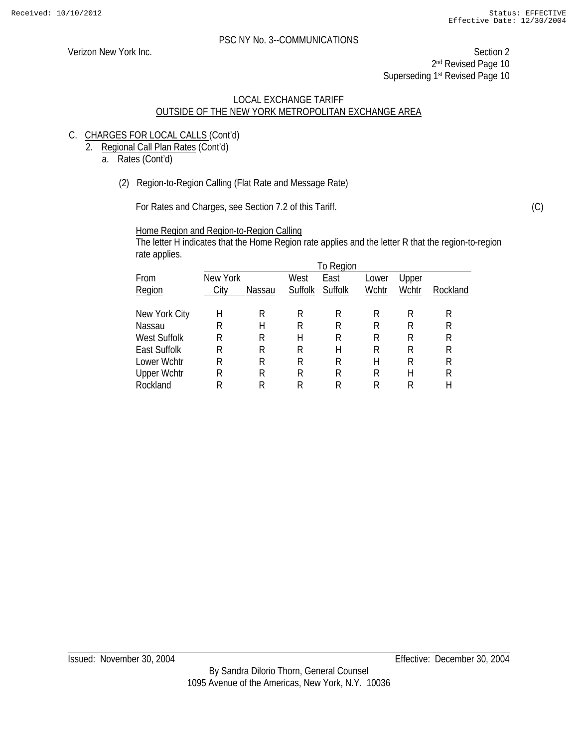Verizon New York Inc. Section 2 2<sup>nd</sup> Revised Page 10 Superseding 1<sup>st</sup> Revised Page 10

#### LOCAL EXCHANGE TARIFF OUTSIDE OF THE NEW YORK METROPOLITAN EXCHANGE AREA

- C. CHARGES FOR LOCAL CALLS (Cont'd)
	- 2. Regional Call Plan Rates (Cont'd)
		- a. Rates (Cont'd)
			- (2) Region-to-Region Calling (Flat Rate and Message Rate)

For Rates and Charges, see Section 7.2 of this Tariff.

Home Region and Region-to-Region Calling

The letter H indicates that the Home Region rate applies and the letter R that the region-to-region rate applies.

|                     |          |        |         | To Region |       |       |          |
|---------------------|----------|--------|---------|-----------|-------|-------|----------|
| From                | New York |        | West    | East      | Lower | Upper |          |
| Region              | City     | Nassau | Suffolk | Suffolk   | Wchtr | Wchtr | Rockland |
| New York City       | Н        | R      | R       | R         | R     | К     | R        |
| Nassau              | R        | Н      | R       | R         | R     | R     | R        |
|                     |          |        |         |           |       |       |          |
| West Suffolk        | R        | R      | Н       | R         | R     | R     | R        |
| <b>East Suffolk</b> | R        | R      | R       | Н         | R     | R     | R        |
| Lower Wchtr         | R        | R      | R       | R         | Н     | R     | R        |
| <b>Upper Wchtr</b>  | R        | R      | R       | R         | R     | Н     | R        |
| Rockland            | R        |        | R       | R         | R     | R     | Н        |

(C)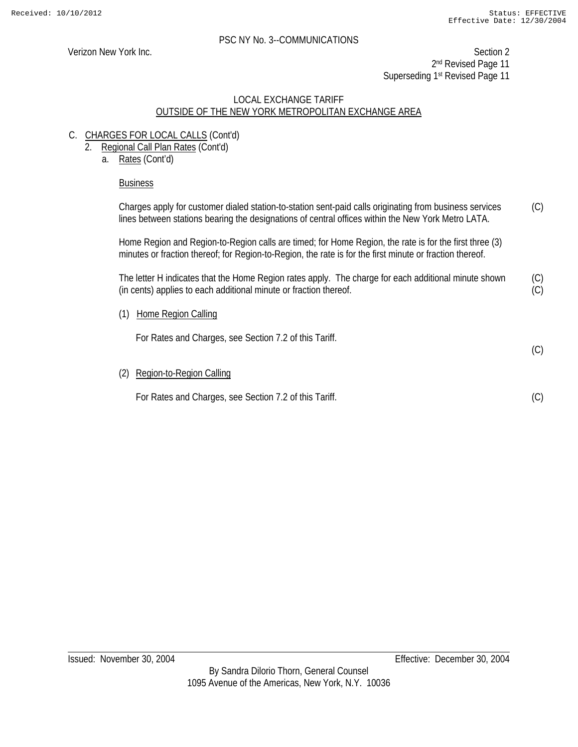(C)

Verizon New York Inc. Section 2 2<sup>nd</sup> Revised Page 11 Superseding 1<sup>st</sup> Revised Page 11

#### LOCAL EXCHANGE TARIFF OUTSIDE OF THE NEW YORK METROPOLITAN EXCHANGE AREA

- C. CHARGES FOR LOCAL CALLS (Cont'd)
	- 2. Regional Call Plan Rates (Cont'd)
		- a. Rates (Cont'd)

# Business

Charges apply for customer dialed station-to-station sent-paid calls originating from business services lines between stations bearing the designations of central offices within the New York Metro LATA. (C)

Home Region and Region-to-Region calls are timed; for Home Region, the rate is for the first three (3) minutes or fraction thereof; for Region-to-Region, the rate is for the first minute or fraction thereof.

The letter H indicates that the Home Region rates apply. The charge for each additional minute shown (in cents) applies to each additional minute or fraction thereof. (C) (C)

(1) Home Region Calling

For Rates and Charges, see Section 7.2 of this Tariff.

(2) Region-to-Region Calling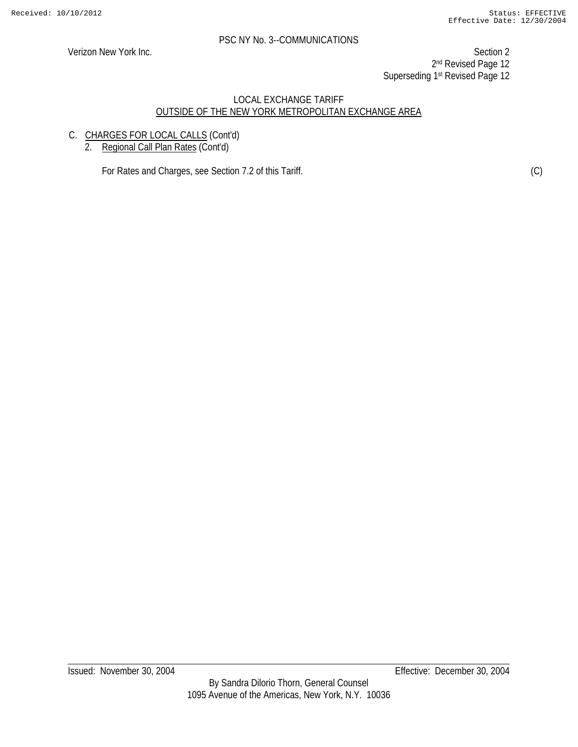Verizon New York Inc. Section 2 2<sup>nd</sup> Revised Page 12 Superseding 1st Revised Page 12

#### LOCAL EXCHANGE TARIFF OUTSIDE OF THE NEW YORK METROPOLITAN EXCHANGE AREA

- C. CHARGES FOR LOCAL CALLS (Cont'd)
	- 2. Regional Call Plan Rates (Cont'd)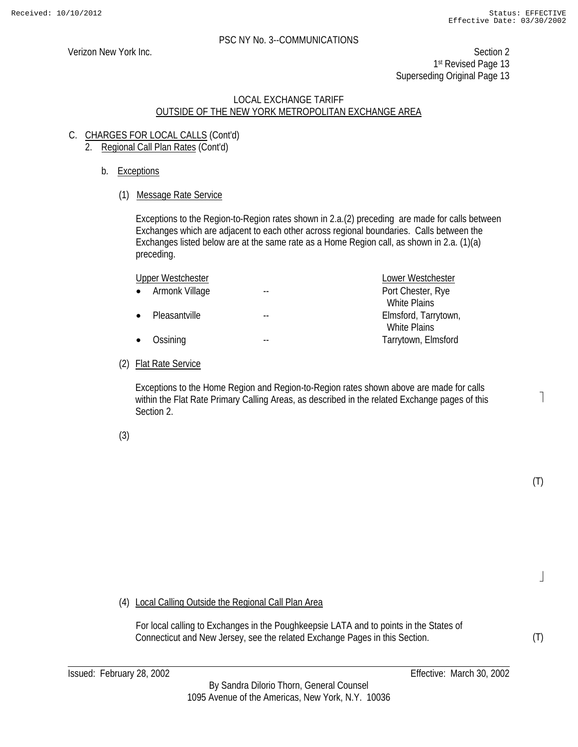1

(T)

 $\rfloor$ 

(T)

Verizon New York Inc. Section 2 1st Revised Page 13 Superseding Original Page 13

#### LOCAL EXCHANGE TARIFF OUTSIDE OF THE NEW YORK METROPOLITAN EXCHANGE AREA

- C. CHARGES FOR LOCAL CALLS (Cont'd) 2. Regional Call Plan Rates (Cont'd)
	- b. Exceptions
		- (1) Message Rate Service

Exceptions to the Region-to-Region rates shown in 2.a.(2) preceding are made for calls between Exchanges which are adjacent to each other across regional boundaries. Calls between the Exchanges listed below are at the same rate as a Home Region call, as shown in 2.a. (1)(a) preceding.

|               |                                                           | Lower Westchester    |
|---------------|-----------------------------------------------------------|----------------------|
|               |                                                           | Port Chester, Rye    |
|               |                                                           | <b>White Plains</b>  |
| Pleasantville |                                                           | Elmsford, Tarrytown, |
|               |                                                           | <b>White Plains</b>  |
| Ossining      |                                                           | Tarrytown, Elmsford  |
|               | <b>Upper Westchester</b><br>• Armonk Village<br>$\bullet$ |                      |

# (2) Flat Rate Service

 Exceptions to the Home Region and Region-to-Region rates shown above are made for calls within the Flat Rate Primary Calling Areas, as described in the related Exchange pages of this Section 2.

(3)

(4) Local Calling Outside the Regional Call Plan Area

For local calling to Exchanges in the Poughkeepsie LATA and to points in the States of Connecticut and New Jersey, see the related Exchange Pages in this Section.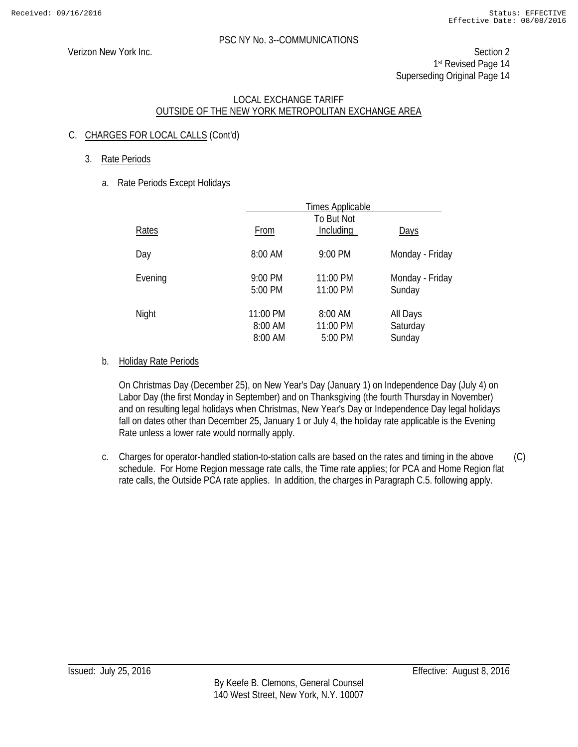Verizon New York Inc. Section 2 1st Revised Page 14 Superseding Original Page 14

# LOCAL EXCHANGE TARIFF OUTSIDE OF THE NEW YORK METROPOLITAN EXCHANGE AREA

# C. CHARGES FOR LOCAL CALLS (Cont'd)

3. Rate Periods

# a. Rate Periods Except Holidays

|         |                                | <b>Times Applicable</b>        |                                |
|---------|--------------------------------|--------------------------------|--------------------------------|
| Rates   | From                           | To But Not<br>Including        | <b>Days</b>                    |
| Day     | 8:00 AM                        | 9:00 PM                        | Monday - Friday                |
| Evening | 9:00 PM<br>5:00 PM             | 11:00 PM<br>11:00 PM           | Monday - Friday<br>Sunday      |
| Night   | 11:00 PM<br>8:00 AM<br>8:00 AM | 8:00 AM<br>11:00 PM<br>5:00 PM | All Days<br>Saturday<br>Sunday |

# b. Holiday Rate Periods

On Christmas Day (December 25), on New Year's Day (January 1) on Independence Day (July 4) on Labor Day (the first Monday in September) and on Thanksgiving (the fourth Thursday in November) and on resulting legal holidays when Christmas, New Year's Day or Independence Day legal holidays fall on dates other than December 25, January 1 or July 4, the holiday rate applicable is the Evening Rate unless a lower rate would normally apply.

c. Charges for operator-handled station-to-station calls are based on the rates and timing in the above schedule. For Home Region message rate calls, the Time rate applies; for PCA and Home Region flat rate calls, the Outside PCA rate applies. In addition, the charges in Paragraph C.5. following apply. (C)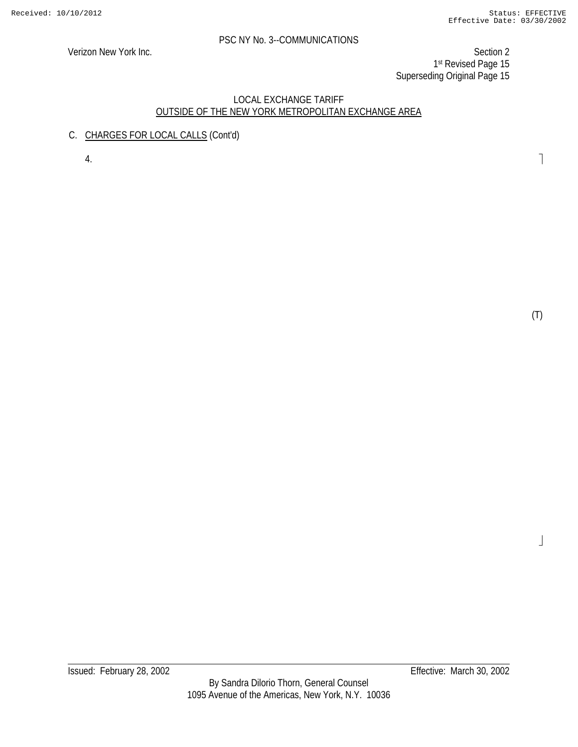Verizon New York Inc. Section 2 1st Revised Page 15 Superseding Original Page 15

#### LOCAL EXCHANGE TARIFF OUTSIDE OF THE NEW YORK METROPOLITAN EXCHANGE AREA

C. CHARGES FOR LOCAL CALLS (Cont'd)

4.

(T)

 $\label{eq:J}$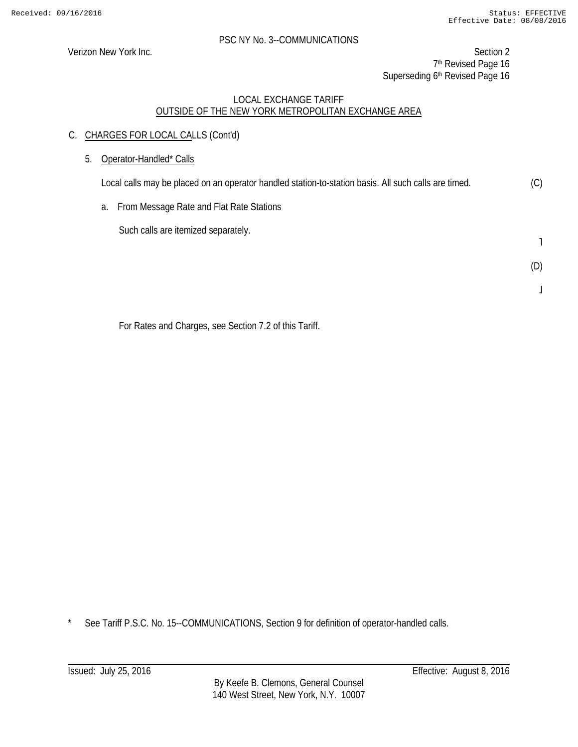Verizon New York Inc. Section 2 7<sup>th</sup> Revised Page 16 Superseding 6<sup>th</sup> Revised Page 16

#### LOCAL EXCHANGE TARIFF OUTSIDE OF THE NEW YORK METROPOLITAN EXCHANGE AREA

- C. CHARGES FOR LOCAL CALLS (Cont'd)
	- 5. Operator-Handled\* Calls

Local calls may be placed on an operator handled station-to-station basis. All such calls are timed. (C)

a. From Message Rate and Flat Rate Stations

Such calls are itemized separately.

˥

(D)

 $\overline{\mathsf{I}}$ 

For Rates and Charges, see Section 7.2 of this Tariff.

\* See Tariff P.S.C. No. 15--COMMUNICATIONS, Section 9 for definition of operator-handled calls.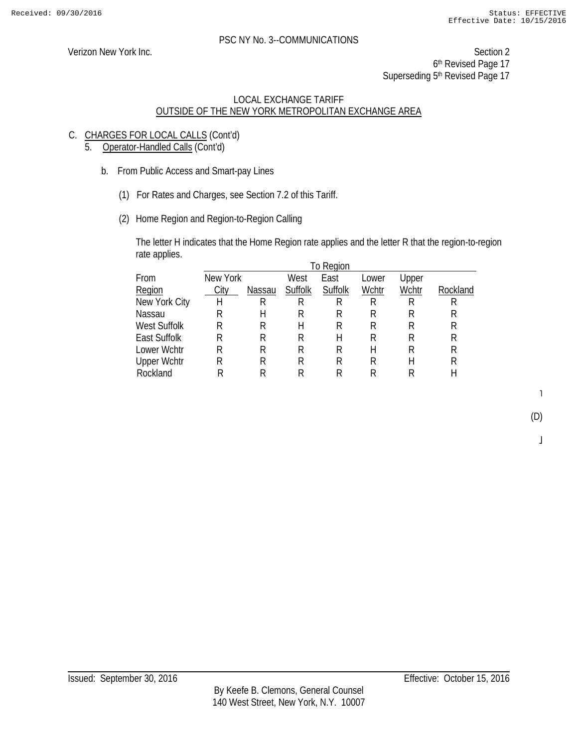Verizon New York Inc. Section 2 6th Revised Page 17 Superseding 5<sup>th</sup> Revised Page 17

# LOCAL EXCHANGE TARIFF OUTSIDE OF THE NEW YORK METROPOLITAN EXCHANGE AREA

- C. CHARGES FOR LOCAL CALLS (Cont'd)
	- 5. Operator-Handled Calls (Cont'd)
		- b. From Public Access and Smart-pay Lines
			- (1) For Rates and Charges, see Section 7.2 of this Tariff.
			- (2) Home Region and Region-to-Region Calling

The letter H indicates that the Home Region rate applies and the letter R that the region-to-region rate applies.

|                     |          |        |         | To Region |       |       |          |
|---------------------|----------|--------|---------|-----------|-------|-------|----------|
| From                | New York |        | West    | East      | Lower | Upper |          |
| Region              | City     | Nassau | Suffolk | Suffolk   | Wchtr | Wchtr | Rockland |
| New York City       | Η        | R      | R       | R         | R     | R     | R        |
| Nassau              | R        | H      | К       | R         | R     | R     | R        |
| West Suffolk        | R        | R      | Н       | R         | R     | R     | R        |
| <b>East Suffolk</b> | R        | R      | R       | Н         | R     | R     | R        |
| Lower Wchtr         | R        | R      | R       | R         | Н     | R     | R        |
| <b>Upper Wchtr</b>  | R        | R      | R       | R         | R     | Н     | R        |
| Rockland            | R        | R      | R       | R         | R     | R     | Н        |
|                     |          |        |         |           |       |       |          |

 $\mathbf{I}$ 

 $\bf{l}$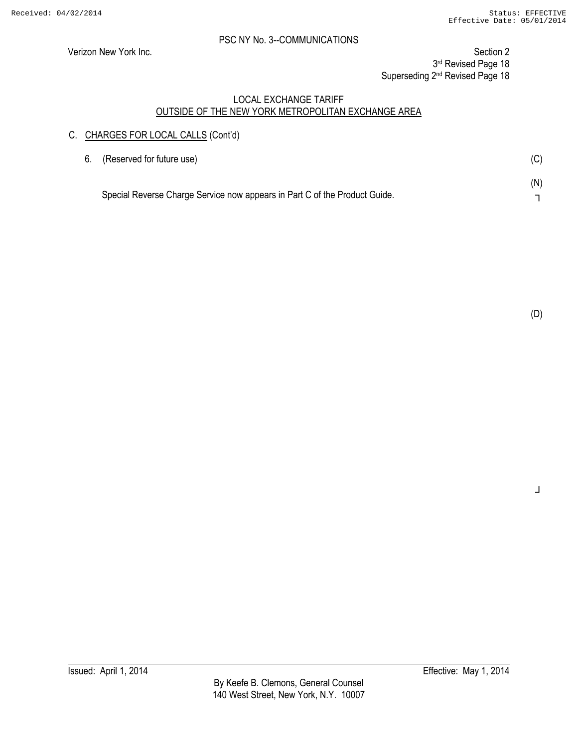Verizon New York Inc. Section 2

3rd Revised Page 18

Superseding 2<sup>nd</sup> Revised Page 18

#### LOCAL EXCHANGE TARIFF OUTSIDE OF THE NEW YORK METROPOLITAN EXCHANGE AREA

# C. CHARGES FOR LOCAL CALLS (Cont'd)

| 6. (Reserved for future use)                                               | (C) |
|----------------------------------------------------------------------------|-----|
| Special Reverse Charge Service now appears in Part C of the Product Guide. | (N) |

┘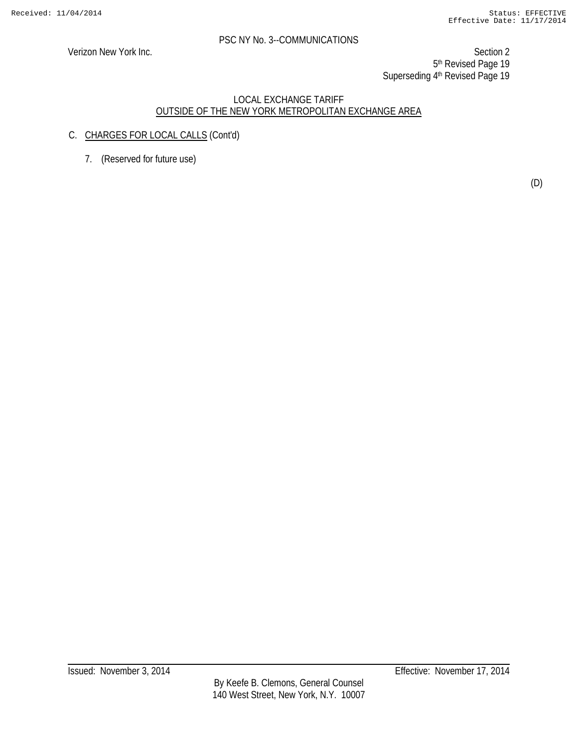Verizon New York Inc. Section 2 5<sup>th</sup> Revised Page 19 Superseding 4th Revised Page 19

#### LOCAL EXCHANGE TARIFF OUTSIDE OF THE NEW YORK METROPOLITAN EXCHANGE AREA

- C. CHARGES FOR LOCAL CALLS (Cont'd)
	- 7. (Reserved for future use)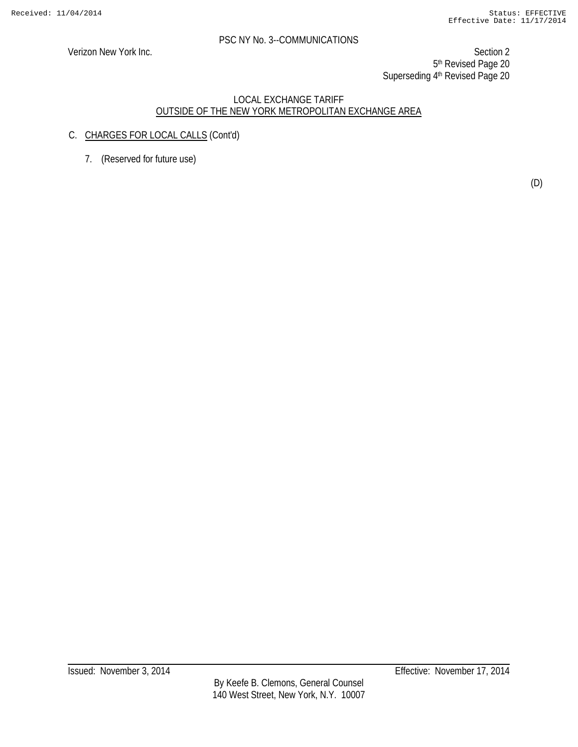Verizon New York Inc. Section 2 5<sup>th</sup> Revised Page 20 Superseding 4th Revised Page 20

#### LOCAL EXCHANGE TARIFF OUTSIDE OF THE NEW YORK METROPOLITAN EXCHANGE AREA

- C. CHARGES FOR LOCAL CALLS (Cont'd)
	- 7. (Reserved for future use)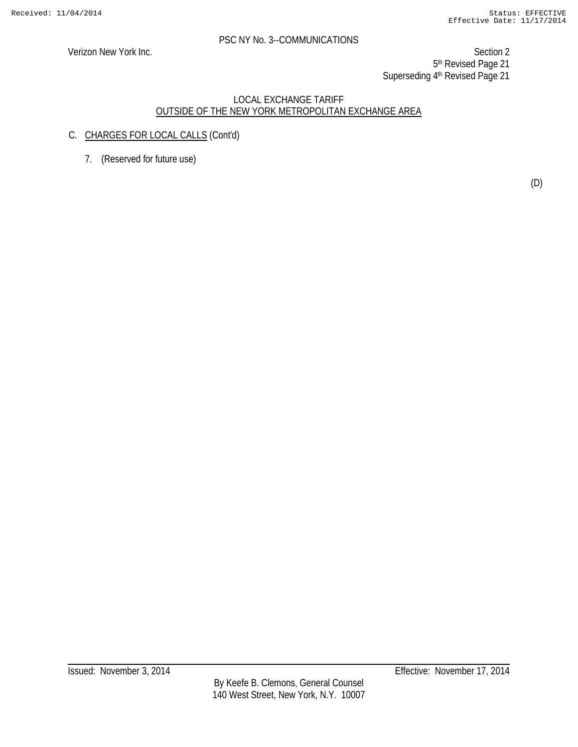Verizon New York Inc. Section 2 5<sup>th</sup> Revised Page 21 Superseding 4<sup>th</sup> Revised Page 21

#### LOCAL EXCHANGE TARIFF OUTSIDE OF THE NEW YORK METROPOLITAN EXCHANGE AREA

- C. CHARGES FOR LOCAL CALLS (Cont'd)
	- 7. (Reserved for future use)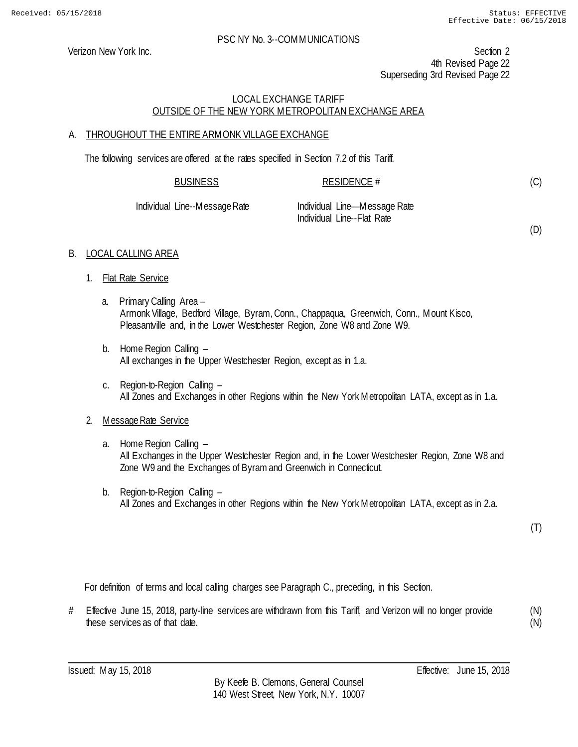Verizon New York Inc. Section 2 4th Revised Page 22 Superseding 3rd Revised Page 22

# LOCAL EXCHANGE TARIFF OUTSIDE OF THE NEW YORK METROPOLITAN EXCHANGE AREA

#### A. THROUGHOUT THE ENTIRE ARMONK VILLAGE EXCHANGE

The following services are offered at the rates specified in Section 7.2 of this Tariff.

| <b>BUSINESS</b>   | RESIDENCE #                |  |
|-------------------|----------------------------|--|
| Line Messess Dets | Included Line Messeas Data |  |

Individual Line--Message Rate Individual Line—Message Rate Individual Line--Flat Rate

(D)

(C)

# B. LOCAL CALLING AREA

- 1. Flat Rate Service
	- a. Primary Calling Area Armonk Village, Bedford Village, Byram, Conn., Chappaqua, Greenwich, Conn., Mount Kisco, Pleasantville and, in the Lower Westchester Region, Zone W8 and Zone W9.
	- b. Home Region Calling All exchanges in the Upper Westchester Region, except as in 1.a.
	- c. Region-to-Region Calling All Zones and Exchanges in other Regions within the New York Metropolitan LATA, except as in 1.a.

# 2. Message Rate Service

- a. Home Region Calling All Exchanges in the Upper Westchester Region and, in the Lower Westchester Region, Zone W8 and Zone W9 and the Exchanges of Byram and Greenwich in Connecticut.
- b. Region-to-Region Calling All Zones and Exchanges in other Regions within the New York Metropolitan LATA, except as in 2.a.

(T)

For definition of terms and local calling charges see Paragraph C., preceding, in this Section.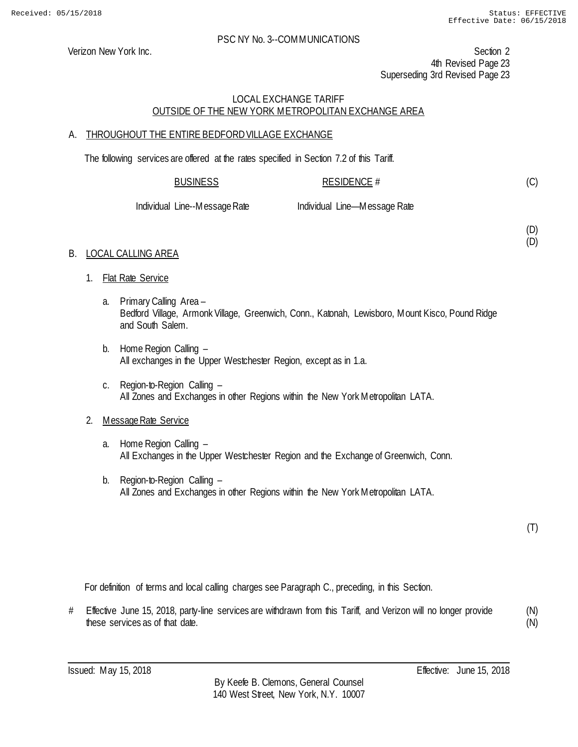Verizon New York Inc. Section 2 4th Revised Page 23 Superseding 3rd Revised Page 23

# LOCAL EXCHANGE TARIFF OUTSIDE OF THE NEW YORK METROPOLITAN EXCHANGE AREA

# A. THROUGHOUT THE ENTIRE BEDFORD VILLAGE EXCHANGE

The following services are offered at the rates specified in Section 7.2 of this Tariff.

#### BUSINESS RESIDENCE # (C)

Individual Line--Message Rate Individual Line—Message Rate

(D) (D)

# B. LOCAL CALLING AREA

- 1. Flat Rate Service
	- a. Primary Calling Area Bedford Village, Armonk Village, Greenwich, Conn., Katonah, Lewisboro, Mount Kisco, Pound Ridge and South Salem.
	- b. Home Region Calling All exchanges in the Upper Westchester Region, except as in 1.a.
	- c. Region-to-Region Calling All Zones and Exchanges in other Regions within the New York Metropolitan LATA.

# 2. Message Rate Service

- a. Home Region Calling All Exchanges in the Upper Westchester Region and the Exchange of Greenwich, Conn.
- b. Region-to-Region Calling All Zones and Exchanges in other Regions within the New York Metropolitan LATA.

(T)

For definition of terms and local calling charges see Paragraph C., preceding, in this Section.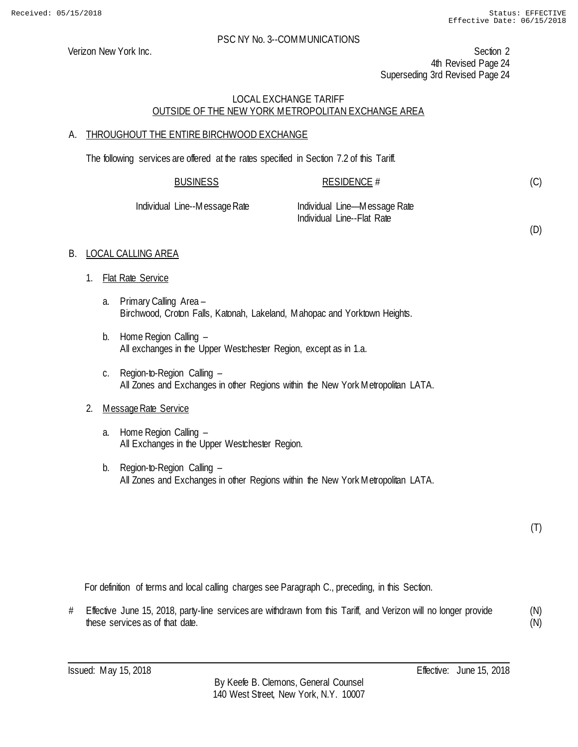(D)

#### PSC NY No. 3--COMMUNICATIONS

Verizon New York Inc. Section 2 4th Revised Page 24 Superseding 3rd Revised Page 24

# LOCAL EXCHANGE TARIFF OUTSIDE OF THE NEW YORK METROPOLITAN EXCHANGE AREA

# A. THROUGHOUT THE ENTIRE BIRCHWOOD EXCHANGE

The following services are offered at the rates specified in Section 7.2 of this Tariff.

| <b>BUSINESS</b>    | RESIDENCE #                  |
|--------------------|------------------------------|
| Line--Message Rate | Individual Line—Message Rate |

Individual Line--Flat Rate

# B. LOCAL CALLING AREA

**Individual** 

- 1. Flat Rate Service
	- a. Primary Calling Area Birchwood, Croton Falls, Katonah, Lakeland, Mahopac and Yorktown Heights.
	- b. Home Region Calling All exchanges in the Upper Westchester Region, except as in 1.a.
	- c. Region-to-Region Calling All Zones and Exchanges in other Regions within the New York Metropolitan LATA.

# 2. Message Rate Service

- a. Home Region Calling All Exchanges in the Upper Westchester Region.
- b. Region-to-Region Calling All Zones and Exchanges in other Regions within the New York Metropolitan LATA.

(T)

For definition of terms and local calling charges see Paragraph C., preceding, in this Section.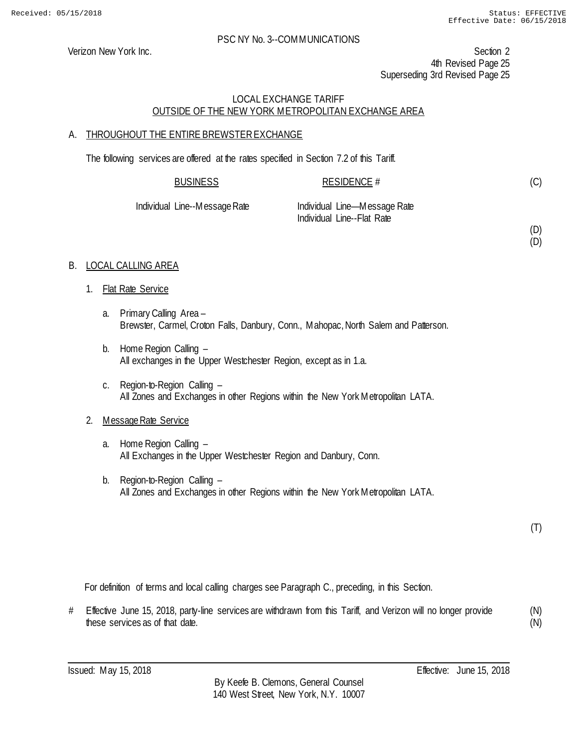(D) (D)

#### PSC NY No. 3--COMMUNICATIONS

Verizon New York Inc. Section 2 4th Revised Page 25 Superseding 3rd Revised Page 25

# LOCAL EXCHANGE TARIFF OUTSIDE OF THE NEW YORK METROPOLITAN EXCHANGE AREA

# A. THROUGHOUT THE ENTIRE BREWSTEREXCHANGE

The following services are offered at the rates specified in Section 7.2 of this Tariff.

| <b>BUSINESS</b>               | RESIDENCE #                  |  |
|-------------------------------|------------------------------|--|
| Individual Line--Message Rate | Individual Line—Message Rate |  |
|                               | Individual Line--Flat Rate   |  |

# B. LOCAL CALLING AREA

- 1. Flat Rate Service
	- a. Primary Calling Area Brewster, Carmel, Croton Falls, Danbury, Conn., Mahopac, North Salem and Patterson.
	- b. Home Region Calling All exchanges in the Upper Westchester Region, except as in 1.a.
	- c. Region-to-Region Calling All Zones and Exchanges in other Regions within the New York Metropolitan LATA.

# 2. Message Rate Service

- a. Home Region Calling All Exchanges in the Upper Westchester Region and Danbury, Conn.
- b. Region-to-Region Calling All Zones and Exchanges in other Regions within the New York Metropolitan LATA.

(T)

For definition of terms and local calling charges see Paragraph C., preceding, in this Section.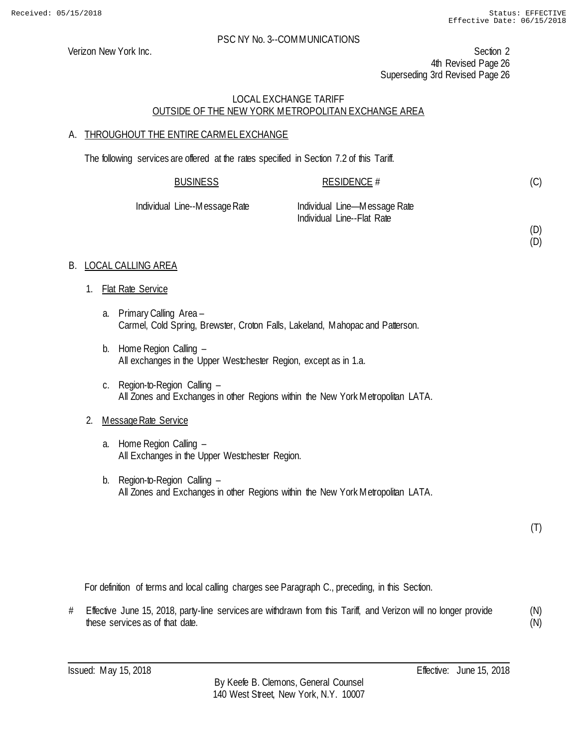(D) (D)

#### PSC NY No. 3--COMMUNICATIONS

Verizon New York Inc. Section 2 4th Revised Page 26 Superseding 3rd Revised Page 26

#### LOCAL EXCHANGE TARIFF OUTSIDE OF THE NEW YORK METROPOLITAN EXCHANGE AREA

#### A. THROUGHOUT THE ENTIRE CARMEL EXCHANGE

The following services are offered at the rates specified in Section 7.2 of this Tariff.

| <b>BUSINESS</b>               | RESIDENCE #                                                |
|-------------------------------|------------------------------------------------------------|
| Individual Line--Message Rate | Individual Line—Message Rate<br>Individual Line--Flat Rate |

#### B. LOCAL CALLING AREA

- 1. Flat Rate Service
	- a. Primary Calling Area Carmel, Cold Spring, Brewster, Croton Falls, Lakeland, Mahopac and Patterson.
	- b. Home Region Calling All exchanges in the Upper Westchester Region, except as in 1.a.
	- c. Region-to-Region Calling All Zones and Exchanges in other Regions within the New York Metropolitan LATA.

# 2. Message Rate Service

- a. Home Region Calling All Exchanges in the Upper Westchester Region.
- b. Region-to-Region Calling All Zones and Exchanges in other Regions within the New York Metropolitan LATA.

(T)

For definition of terms and local calling charges see Paragraph C., preceding, in this Section.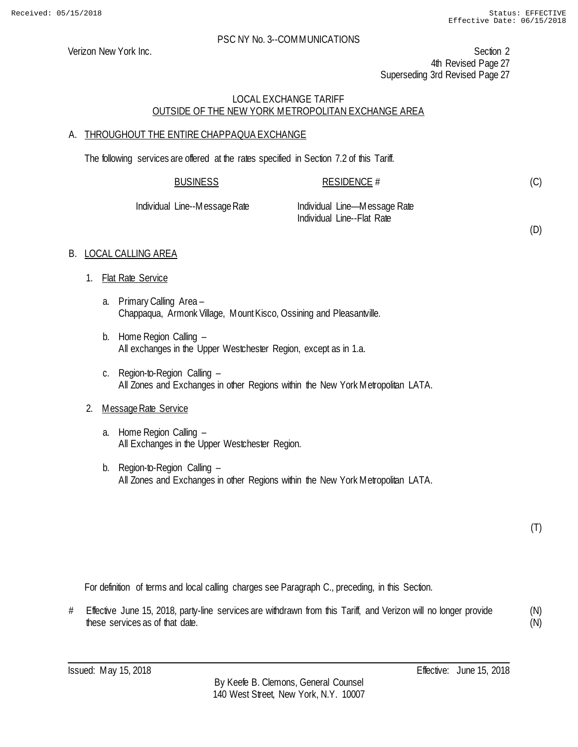(D)

#### PSC NY No. 3--COMMUNICATIONS

Verizon New York Inc. Section 2 4th Revised Page 27 Superseding 3rd Revised Page 27

#### LOCAL EXCHANGE TARIFF OUTSIDE OF THE NEW YORK METROPOLITAN EXCHANGE AREA

#### A. THROUGHOUT THE ENTIRE CHAPPAQUA EXCHANGE

The following services are offered at the rates specified in Section 7.2 of this Tariff.

| <b>BUSINESS</b>               | RESIDENCE $#$                |  |
|-------------------------------|------------------------------|--|
| Individual Line--Message Rate | Individual Line—Message Rate |  |

Individual Line--Flat Rate

B. LOCAL CALLING AREA

- 1. Flat Rate Service
	- a. Primary Calling Area Chappaqua, Armonk Village, Mount Kisco, Ossining and Pleasantville.
	- b. Home Region Calling All exchanges in the Upper Westchester Region, except as in 1.a.
	- c. Region-to-Region Calling All Zones and Exchanges in other Regions within the New York Metropolitan LATA.

#### 2. Message Rate Service

- a. Home Region Calling All Exchanges in the Upper Westchester Region.
- b. Region-to-Region Calling All Zones and Exchanges in other Regions within the New York Metropolitan LATA.

(T)

For definition of terms and local calling charges see Paragraph C., preceding, in this Section.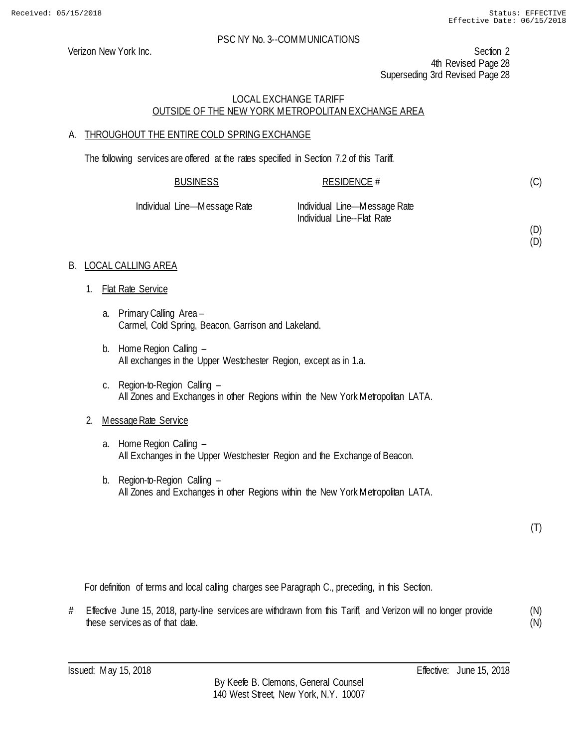(D) (D)

#### PSC NY No. 3--COMMUNICATIONS

Verizon New York Inc. Section 2 4th Revised Page 28 Superseding 3rd Revised Page 28

#### LOCAL EXCHANGE TARIFF OUTSIDE OF THE NEW YORK METROPOLITAN EXCHANGE AREA

#### A. THROUGHOUT THE ENTIRE COLD SPRING EXCHANGE

The following services are offered at the rates specified in Section 7.2 of this Tariff.

| <b>BUSINESS</b>   | RESIDENCE #                    |  |
|-------------------|--------------------------------|--|
| Line—Messane Rate | - Individual Line—Message Rate |  |

Individual Line—Message Rate Individual Line—Message Rate Individual Line--Flat Rate

#### B. LOCAL CALLING AREA

- 1. Flat Rate Service
	- a. Primary Calling Area Carmel, Cold Spring, Beacon, Garrison and Lakeland.
	- b. Home Region Calling All exchanges in the Upper Westchester Region, except as in 1.a.
	- c. Region-to-Region Calling All Zones and Exchanges in other Regions within the New York Metropolitan LATA.

# 2. Message Rate Service

- a. Home Region Calling All Exchanges in the Upper Westchester Region and the Exchange of Beacon.
- b. Region-to-Region Calling All Zones and Exchanges in other Regions within the New York Metropolitan LATA.

(T)

For definition of terms and local calling charges see Paragraph C., preceding, in this Section.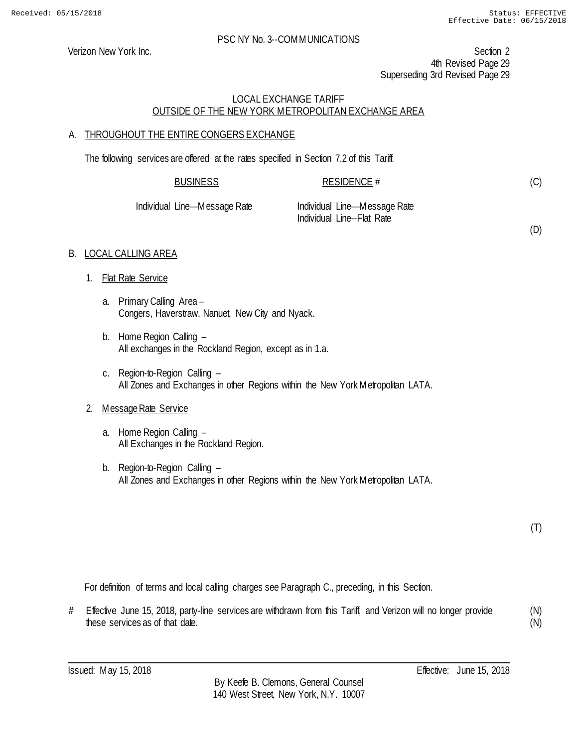(D)

#### PSC NY No. 3--COMMUNICATIONS

Verizon New York Inc. Section 2 4th Revised Page 29 Superseding 3rd Revised Page 29

#### LOCAL EXCHANGE TARIFF OUTSIDE OF THE NEW YORK METROPOLITAN EXCHANGE AREA

# A. THROUGHOUT THE ENTIRE CONGERS EXCHANGE

The following services are offered at the rates specified in Section 7.2 of this Tariff.

| <b>BUSINESS</b>   | RESIDENCE #                                                |
|-------------------|------------------------------------------------------------|
| Line—Message Rate | Individual Line—Message Rate<br>Individual Line--Flat Rate |

#### B. LOCAL CALLING AREA

1. Flat Rate Service

**Individual** 

- a. Primary Calling Area Congers, Haverstraw, Nanuet, New City and Nyack.
- b. Home Region Calling All exchanges in the Rockland Region, except as in 1.a.
- c. Region-to-Region Calling All Zones and Exchanges in other Regions within the New York Metropolitan LATA.

#### 2. Message Rate Service

- a. Home Region Calling All Exchanges in the Rockland Region.
- b. Region-to-Region Calling All Zones and Exchanges in other Regions within the New York Metropolitan LATA.

(T)

For definition of terms and local calling charges see Paragraph C., preceding, in this Section.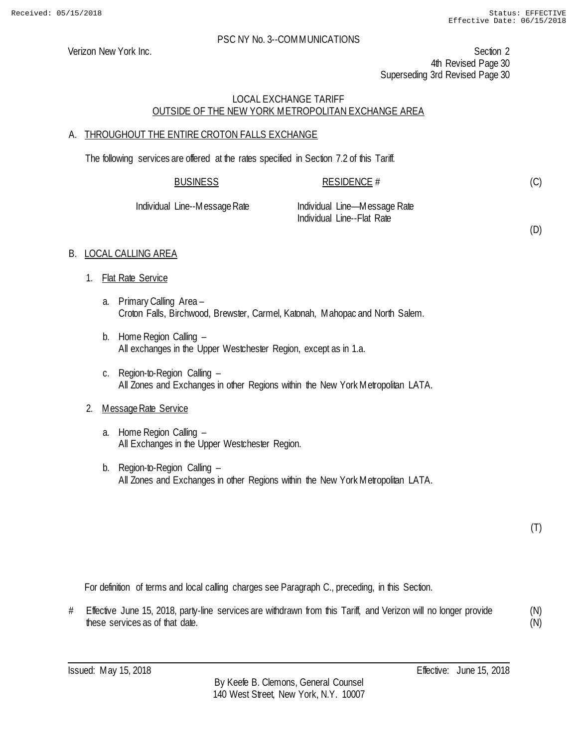Verizon New York Inc. Section 2 4th Revised Page 30 Superseding 3rd Revised Page 30

# LOCAL EXCHANGE TARIFF OUTSIDE OF THE NEW YORK METROPOLITAN EXCHANGE AREA

# A. THROUGHOUT THE ENTIRE CROTON FALLS EXCHANGE

The following services are offered at the rates specified in Section 7.2 of this Tariff.

| BUSINESS | <b>RESIDENCE #</b> |
|----------|--------------------|
|          |                    |

Individual Line--Message Rate Individual Line—Message Rate Individual Line--Flat Rate

(D)

(C)

# B. LOCAL CALLING AREA

- 1. Flat Rate Service
	- a. Primary Calling Area Croton Falls, Birchwood, Brewster, Carmel, Katonah, Mahopac and North Salem.
	- b. Home Region Calling All exchanges in the Upper Westchester Region, except as in 1.a.
	- c. Region-to-Region Calling All Zones and Exchanges in other Regions within the New York Metropolitan LATA.

# 2. Message Rate Service

- a. Home Region Calling All Exchanges in the Upper Westchester Region.
- b. Region-to-Region Calling All Zones and Exchanges in other Regions within the New York Metropolitan LATA.

(T)

For definition of terms and local calling charges see Paragraph C., preceding, in this Section.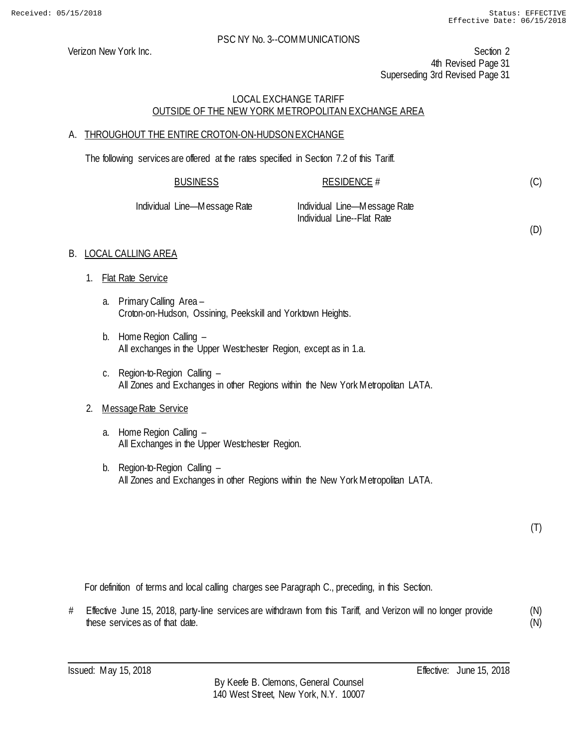Verizon New York Inc. Section 2 4th Revised Page 31 Superseding 3rd Revised Page 31

# LOCAL EXCHANGE TARIFF OUTSIDE OF THE NEW YORK METROPOLITAN EXCHANGE AREA

# A. THROUGHOUT THE ENTIRE CROTON-ON-HUDSONEXCHANGE

The following services are offered at the rates specified in Section 7.2 of this Tariff.

| <b>BUSINESS</b>     | RESIDENCE #                |  |
|---------------------|----------------------------|--|
| وملوه وموجود المعال | Included Line Messeng Data |  |

| Individual Line—Message Rate | Individual Line-Message Rate |
|------------------------------|------------------------------|
|                              | Individual Line--Flat Rate   |

(D)

(C)

# B. LOCAL CALLING AREA

- 1. Flat Rate Service
	- a. Primary Calling Area Croton-on-Hudson, Ossining, Peekskill and Yorktown Heights.
	- b. Home Region Calling All exchanges in the Upper Westchester Region, except as in 1.a.
	- c. Region-to-Region Calling All Zones and Exchanges in other Regions within the New York Metropolitan LATA.

# 2. Message Rate Service

- a. Home Region Calling All Exchanges in the Upper Westchester Region.
- b. Region-to-Region Calling All Zones and Exchanges in other Regions within the New York Metropolitan LATA.

(T)

For definition of terms and local calling charges see Paragraph C., preceding, in this Section.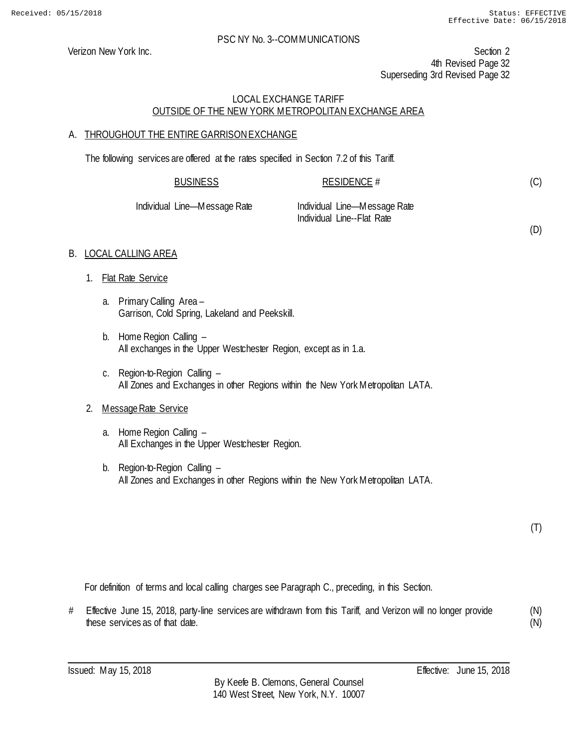Verizon New York Inc. Section 2 4th Revised Page 32 Superseding 3rd Revised Page 32

#### LOCAL EXCHANGE TARIFF OUTSIDE OF THE NEW YORK METROPOLITAN EXCHANGE AREA

#### A. THROUGHOUT THE ENTIRE GARRISON EXCHANGE

The following services are offered at the rates specified in Section 7.2 of this Tariff.

| <b>BUSINESS</b>      | <b>RESIDENCE #</b>           |  |
|----------------------|------------------------------|--|
| al Line—Message Rate | Individual Line—Message Rate |  |

Individual Line—Message Rate Individual Line—Message Rate Individual Line--Flat Rate

(D)

(C)

# B. LOCAL CALLING AREA

- 1. Flat Rate Service
	- a. Primary Calling Area Garrison, Cold Spring, Lakeland and Peekskill.
	- b. Home Region Calling All exchanges in the Upper Westchester Region, except as in 1.a.
	- c. Region-to-Region Calling All Zones and Exchanges in other Regions within the New York Metropolitan LATA.

# 2. Message Rate Service

- a. Home Region Calling All Exchanges in the Upper Westchester Region.
- b. Region-to-Region Calling All Zones and Exchanges in other Regions within the New York Metropolitan LATA.

(T)

For definition of terms and local calling charges see Paragraph C., preceding, in this Section.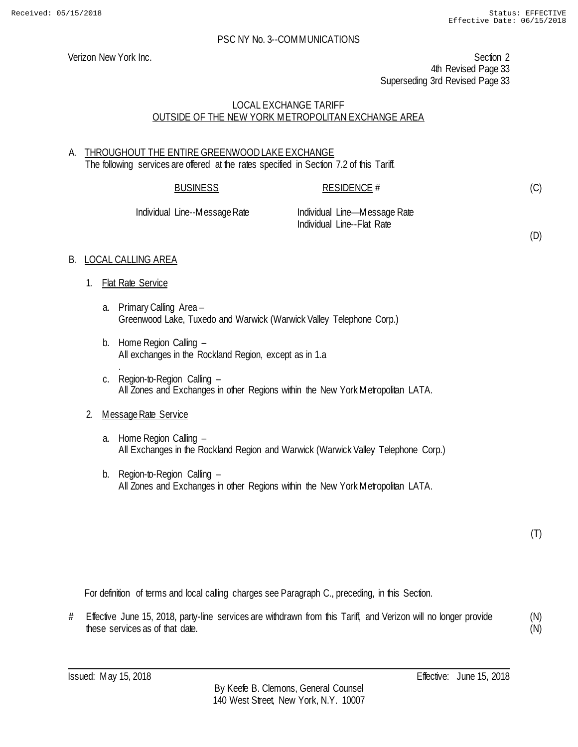Verizon New York Inc. Section 2 4th Revised Page 33 Superseding 3rd Revised Page 33

#### LOCAL EXCHANGE TARIFF OUTSIDE OF THE NEW YORK METROPOLITAN EXCHANGE AREA

# A. THROUGHOUT THE ENTIRE GREENWOOD LAKE EXCHANGE The following services are offered at the rates specified in Section 7.2 of this Tariff.

| <b>BUSINESS</b>               | RESIDENCE #                                                | (C) |
|-------------------------------|------------------------------------------------------------|-----|
| Individual Line--Message Rate | Individual Line-Message Rate<br>Individual Line--Flat Rate | (D) |

# B. LOCAL CALLING AREA

- 1. Flat Rate Service
	- a. Primary Calling Area Greenwood Lake, Tuxedo and Warwick (Warwick Valley Telephone Corp.)
	- b. Home Region Calling All exchanges in the Rockland Region, except as in 1.a
	- . c. Region-to-Region Calling – All Zones and Exchanges in other Regions within the New York Metropolitan LATA.

# 2. Message Rate Service

- a. Home Region Calling All Exchanges in the Rockland Region and Warwick (Warwick Valley Telephone Corp.)
- b. Region-to-Region Calling All Zones and Exchanges in other Regions within the New York Metropolitan LATA.

(T)

For definition of terms and local calling charges see Paragraph C., preceding, in this Section.

# Effective June 15, 2018, party-line services are withdrawn from this Tariff, and Verizon will no longer provide these services as of that date. (N)

(N)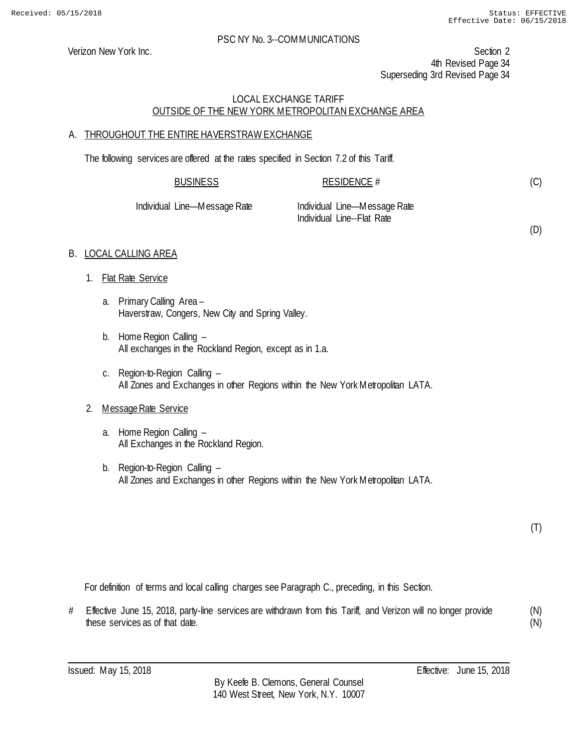(D)

#### PSC NY No. 3--COMMUNICATIONS

Verizon New York Inc. Section 2 4th Revised Page 34 Superseding 3rd Revised Page 34

#### LOCAL EXCHANGE TARIFF OUTSIDE OF THE NEW YORK METROPOLITAN EXCHANGE AREA

#### A. THROUGHOUT THE ENTIRE HAVERSTRAW EXCHANGE

The following services are offered at the rates specified in Section 7.2 of this Tariff.

| <b>BUSINESS</b>              | RESIDENCE #                  |
|------------------------------|------------------------------|
| Individual Line—Message Rate | Individual Line—Message Rate |

Individual Line--Flat Rate

#### B. LOCAL CALLING AREA

- 1. Flat Rate Service
	- a. Primary Calling Area Haverstraw, Congers, New City and Spring Valley.
	- b. Home Region Calling All exchanges in the Rockland Region, except as in 1.a.
	- c. Region-to-Region Calling All Zones and Exchanges in other Regions within the New York Metropolitan LATA.

# 2. Message Rate Service

- a. Home Region Calling All Exchanges in the Rockland Region.
- b. Region-to-Region Calling All Zones and Exchanges in other Regions within the New York Metropolitan LATA.

(T)

For definition of terms and local calling charges see Paragraph C., preceding, in this Section.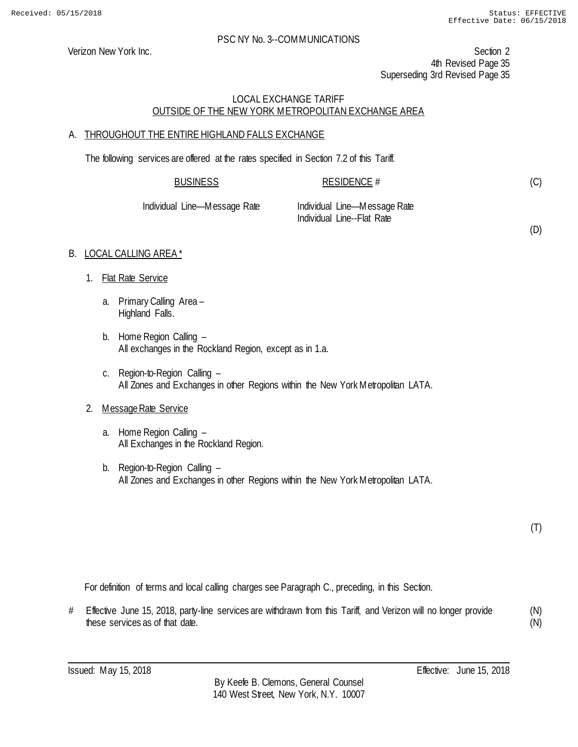(D)

#### PSC NY No. 3--COMMUNICATIONS

Verizon New York Inc. Section 2 4th Revised Page 35 Superseding 3rd Revised Page 35

# LOCAL EXCHANGE TARIFF OUTSIDE OF THE NEW YORK METROPOLITAN EXCHANGE AREA

# A. THROUGHOUT THE ENTIRE HIGHLAND FALLS EXCHANGE

The following services are offered at the rates specified in Section 7.2 of this Tariff.

| <b>BUSINESS</b>              | RESIDENCE #                                                |  |
|------------------------------|------------------------------------------------------------|--|
| Individual Line—Message Rate | Individual Line—Message Rate<br>Individual Line--Flat Rate |  |

# B. LOCAL CALLING AREA\*

- 1. Flat Rate Service
	- a. Primary Calling Area Highland Falls.
	- b. Home Region Calling All exchanges in the Rockland Region, except as in 1.a.
	- c. Region-to-Region Calling All Zones and Exchanges in other Regions within the New York Metropolitan LATA.

# 2. Message Rate Service

- a. Home Region Calling All Exchanges in the Rockland Region.
- b. Region-to-Region Calling All Zones and Exchanges in other Regions within the New York Metropolitan LATA.

(T)

For definition of terms and local calling charges see Paragraph C., preceding, in this Section.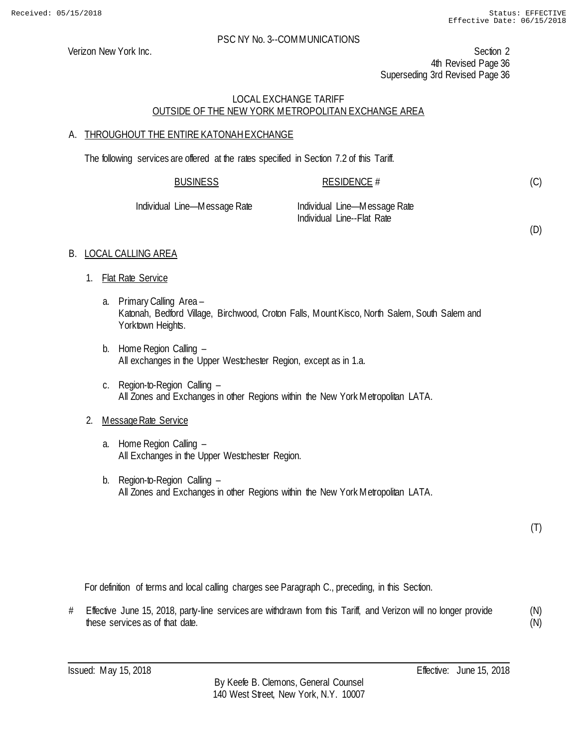Verizon New York Inc. Section 2 4th Revised Page 36 Superseding 3rd Revised Page 36

#### LOCAL EXCHANGE TARIFF OUTSIDE OF THE NEW YORK METROPOLITAN EXCHANGE AREA

#### A. THROUGHOUT THE ENTIRE KATONAH EXCHANGE

The following services are offered at the rates specified in Section 7.2 of this Tariff.

| <b>BUSINESS</b>   | RESIDENCE #                  |  |
|-------------------|------------------------------|--|
| Line—Message Rate | Individual Line—Message Rate |  |

Individual Line—Message Rate Individual Line--Flat Rate

(D)

(C)

# B. LOCAL CALLING AREA

- 1. Flat Rate Service
	- a. Primary Calling Area Katonah, Bedford Village, Birchwood, Croton Falls, Mount Kisco, North Salem, South Salem and Yorktown Heights.
	- b. Home Region Calling All exchanges in the Upper Westchester Region, except as in 1.a.
	- c. Region-to-Region Calling All Zones and Exchanges in other Regions within the New York Metropolitan LATA.

# 2. Message Rate Service

- a. Home Region Calling All Exchanges in the Upper Westchester Region.
- b. Region-to-Region Calling All Zones and Exchanges in other Regions within the New York Metropolitan LATA.

(T)

For definition of terms and local calling charges see Paragraph C., preceding, in this Section.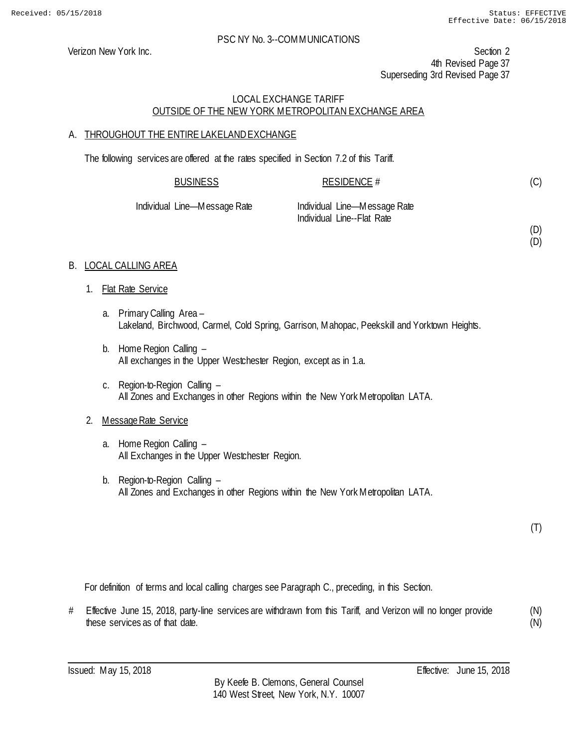(D) (D)

#### PSC NY No. 3--COMMUNICATIONS

Verizon New York Inc. Section 2 4th Revised Page 37 Superseding 3rd Revised Page 37

# LOCAL EXCHANGE TARIFF OUTSIDE OF THE NEW YORK METROPOLITAN EXCHANGE AREA

# A. THROUGHOUT THE ENTIRE LAKELANDEXCHANGE

The following services are offered at the rates specified in Section 7.2 of this Tariff.

| <b>BUSINESS</b>   | RESIDENCE #                  |  |
|-------------------|------------------------------|--|
| Line—Message Rate | Individual Line—Message Rate |  |

Individual Line—Message Rate Individual Line—Message Rate Individual Line--Flat Rate

# B. LOCAL CALLING AREA

- 1. Flat Rate Service
	- a. Primary Calling Area Lakeland, Birchwood, Carmel, Cold Spring, Garrison, Mahopac, Peekskill and Yorktown Heights.
	- b. Home Region Calling All exchanges in the Upper Westchester Region, except as in 1.a.
	- c. Region-to-Region Calling All Zones and Exchanges in other Regions within the New York Metropolitan LATA.

# 2. Message Rate Service

- a. Home Region Calling All Exchanges in the Upper Westchester Region.
- b. Region-to-Region Calling All Zones and Exchanges in other Regions within the New York Metropolitan LATA.

(T)

For definition of terms and local calling charges see Paragraph C., preceding, in this Section.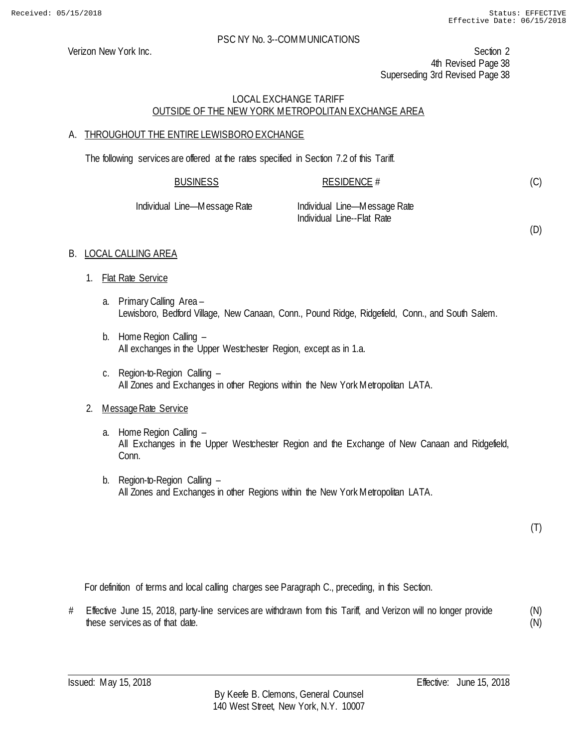Verizon New York Inc. Section 2 4th Revised Page 38 Superseding 3rd Revised Page 38

# LOCAL EXCHANGE TARIFF OUTSIDE OF THE NEW YORK METROPOLITAN EXCHANGE AREA

# A. THROUGHOUT THE ENTIRE LEWISBOROEXCHANGE

The following services are offered at the rates specified in Section 7.2 of this Tariff.

| <b>BUSINESS</b> | <b>RESIDENCE #</b> |
|-----------------|--------------------|
|                 |                    |

| Individual Line—Message Rate |  |
|------------------------------|--|
|------------------------------|--|

Individual Line—Message Rate Individual Line--Flat Rate

(D)

(C)

# B. LOCAL CALLING AREA

- 1. Flat Rate Service
	- a. Primary Calling Area Lewisboro, Bedford Village, New Canaan, Conn., Pound Ridge, Ridgefield, Conn., and South Salem.
	- b. Home Region Calling All exchanges in the Upper Westchester Region, except as in 1.a.
	- c. Region-to-Region Calling All Zones and Exchanges in other Regions within the New York Metropolitan LATA.

# 2. Message Rate Service

- a. Home Region Calling All Exchanges in the Upper Westchester Region and the Exchange of New Canaan and Ridgefield, Conn.
- b. Region-to-Region Calling All Zones and Exchanges in other Regions within the New York Metropolitan LATA.

(T)

For definition of terms and local calling charges see Paragraph C., preceding, in this Section.

# Effective June 15, 2018, party-line services are withdrawn from this Tariff, and Verizon will no longer provide these services as of that date. (N)

(N)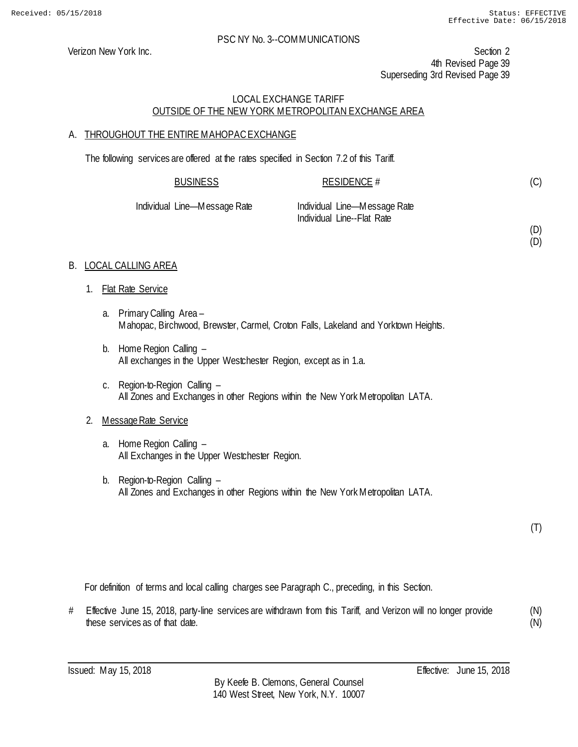(D) (D)

#### PSC NY No. 3--COMMUNICATIONS

Verizon New York Inc. Section 2 4th Revised Page 39 Superseding 3rd Revised Page 39

# LOCAL EXCHANGE TARIFF OUTSIDE OF THE NEW YORK METROPOLITAN EXCHANGE AREA

# A. THROUGHOUT THE ENTIRE MAHOPACEXCHANGE

The following services are offered at the rates specified in Section 7.2 of this Tariff.

| <b>BUSINESS</b>              | RESIDENCE #                                                |
|------------------------------|------------------------------------------------------------|
| Individual Line—Message Rate | Individual Line—Message Rate<br>Individual Line--Flat Rate |

# B. LOCAL CALLING AREA

- 1. Flat Rate Service
	- a. Primary Calling Area Mahopac, Birchwood, Brewster, Carmel, Croton Falls, Lakeland and Yorktown Heights.
	- b. Home Region Calling All exchanges in the Upper Westchester Region, except as in 1.a.
	- c. Region-to-Region Calling All Zones and Exchanges in other Regions within the New York Metropolitan LATA.

# 2. Message Rate Service

- a. Home Region Calling All Exchanges in the Upper Westchester Region.
- b. Region-to-Region Calling All Zones and Exchanges in other Regions within the New York Metropolitan LATA.

(T)

For definition of terms and local calling charges see Paragraph C., preceding, in this Section.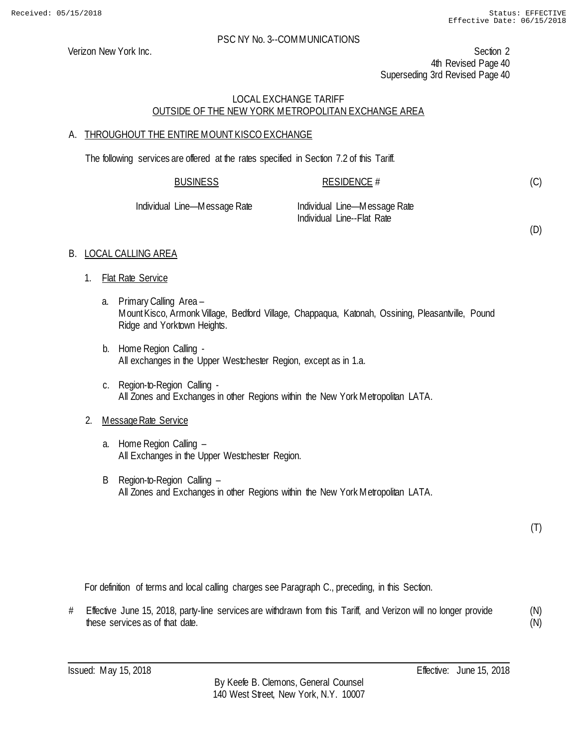Verizon New York Inc. Section 2 4th Revised Page 40 Superseding 3rd Revised Page 40

#### LOCAL EXCHANGE TARIFF OUTSIDE OF THE NEW YORK METROPOLITAN EXCHANGE AREA

#### A. THROUGHOUT THE ENTIRE MOUNT KISCO EXCHANGE

The following services are offered at the rates specified in Section 7.2 of this Tariff.

| <b>BUSINESS</b>     | RESIDENCE #                    |  |
|---------------------|--------------------------------|--|
| d Line—Messane Rate | - Individual Line—Message Rate |  |

| Individual Line—Message Rate | Individual Line-Message Rate |
|------------------------------|------------------------------|
|                              | Individual Line--Flat Rate   |

(D)

(C)

# B. LOCAL CALLING AREA

- 1. Flat Rate Service
	- a. Primary Calling Area Mount Kisco, Armonk Village, Bedford Village, Chappaqua, Katonah, Ossining, Pleasantville, Pound Ridge and Yorktown Heights.
	- b. Home Region Calling All exchanges in the Upper Westchester Region, except as in 1.a.
	- c. Region-to-Region Calling All Zones and Exchanges in other Regions within the New York Metropolitan LATA.

# 2. Message Rate Service

- a. Home Region Calling All Exchanges in the Upper Westchester Region.
- B Region-to-Region Calling All Zones and Exchanges in other Regions within the New York Metropolitan LATA.

(T)

For definition of terms and local calling charges see Paragraph C., preceding, in this Section.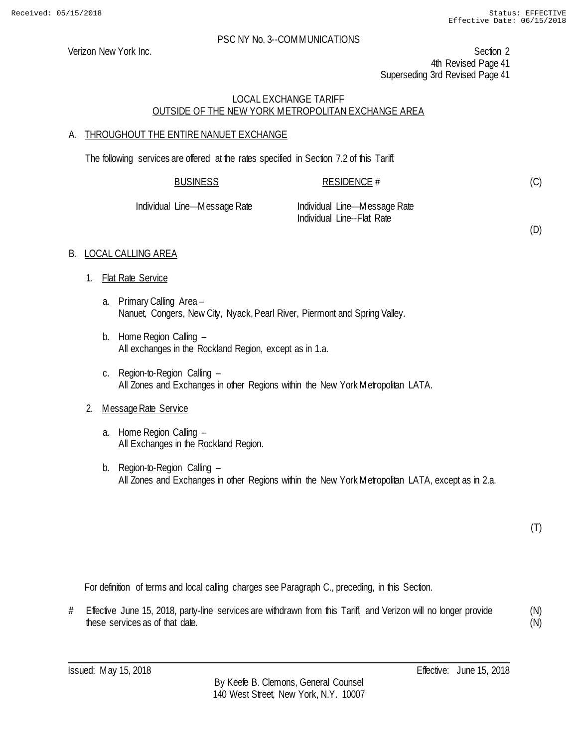(D)

#### PSC NY No. 3--COMMUNICATIONS

Verizon New York Inc. Section 2 4th Revised Page 41 Superseding 3rd Revised Page 41

# LOCAL EXCHANGE TARIFF OUTSIDE OF THE NEW YORK METROPOLITAN EXCHANGE AREA

#### A. THROUGHOUT THE ENTIRE NANUET EXCHANGE

The following services are offered at the rates specified in Section 7.2 of this Tariff.

| <b>BUSINESS</b>              | RESIDENCE #                                                |  |
|------------------------------|------------------------------------------------------------|--|
| Individual Line—Message Rate | Individual Line—Message Rate<br>Individual Line--Flat Rate |  |

#### B. LOCAL CALLING AREA

- 1. Flat Rate Service
	- a. Primary Calling Area Nanuet, Congers, New City, Nyack, Pearl River, Piermont and Spring Valley.
	- b. Home Region Calling All exchanges in the Rockland Region, except as in 1.a.
	- c. Region-to-Region Calling All Zones and Exchanges in other Regions within the New York Metropolitan LATA.

#### 2. Message Rate Service

- a. Home Region Calling All Exchanges in the Rockland Region.
- b. Region-to-Region Calling All Zones and Exchanges in other Regions within the New York Metropolitan LATA, except as in 2.a.

(T)

For definition of terms and local calling charges see Paragraph C., preceding, in this Section.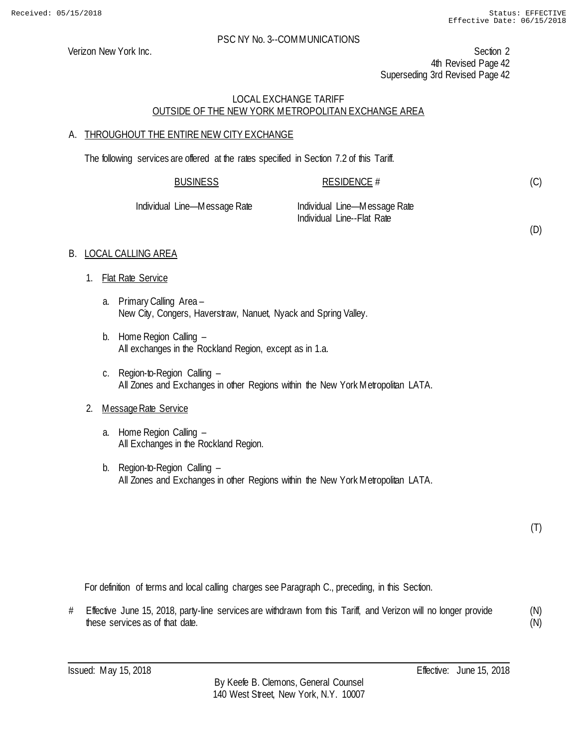(D)

#### PSC NY No. 3--COMMUNICATIONS

Verizon New York Inc. Section 2 4th Revised Page 42 Superseding 3rd Revised Page 42

#### LOCAL EXCHANGE TARIFF OUTSIDE OF THE NEW YORK METROPOLITAN EXCHANGE AREA

# A. THROUGHOUT THE ENTIRE NEW CITY EXCHANGE

The following services are offered at the rates specified in Section 7.2 of this Tariff.

| <b>BUSINESS</b>              | RESIDENCE #                                                |  |
|------------------------------|------------------------------------------------------------|--|
| Individual Line—Message Rate | Individual Line—Message Rate<br>Individual Line--Flat Rate |  |

#### B. LOCAL CALLING AREA

- 1. Flat Rate Service
	- a. Primary Calling Area New City, Congers, Haverstraw, Nanuet, Nyack and Spring Valley.
	- b. Home Region Calling All exchanges in the Rockland Region, except as in 1.a.
	- c. Region-to-Region Calling All Zones and Exchanges in other Regions within the New York Metropolitan LATA.

#### 2. Message Rate Service

- a. Home Region Calling All Exchanges in the Rockland Region.
- b. Region-to-Region Calling All Zones and Exchanges in other Regions within the New York Metropolitan LATA.

(T)

For definition of terms and local calling charges see Paragraph C., preceding, in this Section.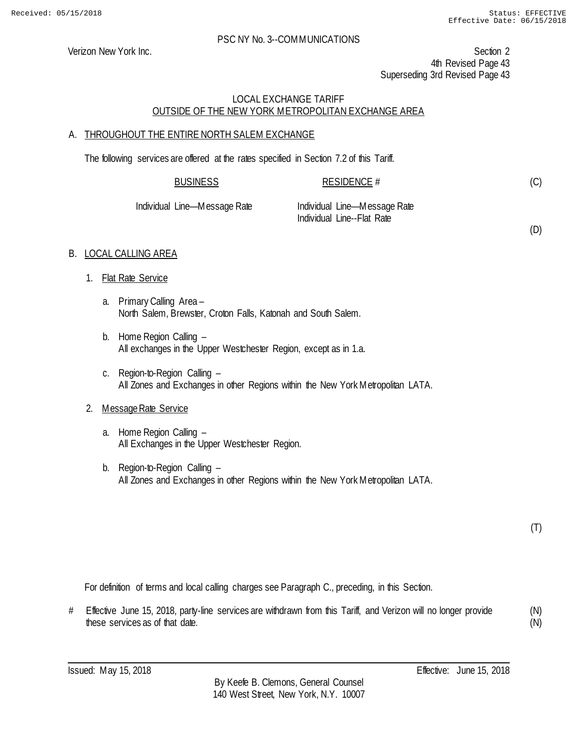Verizon New York Inc. Section 2 4th Revised Page 43 Superseding 3rd Revised Page 43

#### LOCAL EXCHANGE TARIFF OUTSIDE OF THE NEW YORK METROPOLITAN EXCHANGE AREA

# A. THROUGHOUT THE ENTIRE NORTH SALEM EXCHANGE

The following services are offered at the rates specified in Section 7.2 of this Tariff.

| <b>BUSINESS</b>          | RESIDENCE #                  |  |
|--------------------------|------------------------------|--|
| <u>Lino Mossano Dato</u> | lndividual Lino Mossago Dato |  |

| Individual Line—Message Rate | Individual Line-Message Rate |
|------------------------------|------------------------------|
|                              | Individual Line--Flat Rate   |

(D)

(C)

# B. LOCAL CALLING AREA

- 1. Flat Rate Service
	- a. Primary Calling Area North Salem, Brewster, Croton Falls, Katonah and South Salem.
	- b. Home Region Calling All exchanges in the Upper Westchester Region, except as in 1.a.
	- c. Region-to-Region Calling All Zones and Exchanges in other Regions within the New York Metropolitan LATA.

#### 2. Message Rate Service

- a. Home Region Calling All Exchanges in the Upper Westchester Region.
- b. Region-to-Region Calling All Zones and Exchanges in other Regions within the New York Metropolitan LATA.

(T)

For definition of terms and local calling charges see Paragraph C., preceding, in this Section.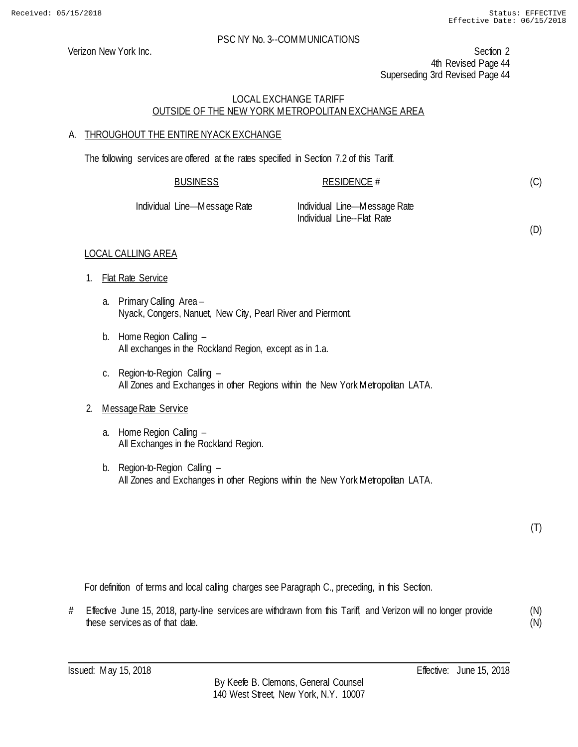(D)

#### PSC NY No. 3--COMMUNICATIONS

Verizon New York Inc. Section 2 4th Revised Page 44 Superseding 3rd Revised Page 44

#### LOCAL EXCHANGE TARIFF OUTSIDE OF THE NEW YORK METROPOLITAN EXCHANGE AREA

#### A. THROUGHOUT THE ENTIRE NYACK EXCHANGE

The following services are offered at the rates specified in Section 7.2 of this Tariff.

| <b>BUSINESS</b>              | RESIDENCE #                                                |  |
|------------------------------|------------------------------------------------------------|--|
| Individual Line—Message Rate | Individual Line—Message Rate<br>Individual Line--Flat Rate |  |

#### LOCAL CALLING AREA

- 1. Flat Rate Service
	- a. Primary Calling Area Nyack, Congers, Nanuet, New City, Pearl River and Piermont.
	- b. Home Region Calling All exchanges in the Rockland Region, except as in 1.a.
	- c. Region-to-Region Calling All Zones and Exchanges in other Regions within the New York Metropolitan LATA.

#### 2. Message Rate Service

- a. Home Region Calling All Exchanges in the Rockland Region.
- b. Region-to-Region Calling All Zones and Exchanges in other Regions within the New York Metropolitan LATA.

(T)

For definition of terms and local calling charges see Paragraph C., preceding, in this Section.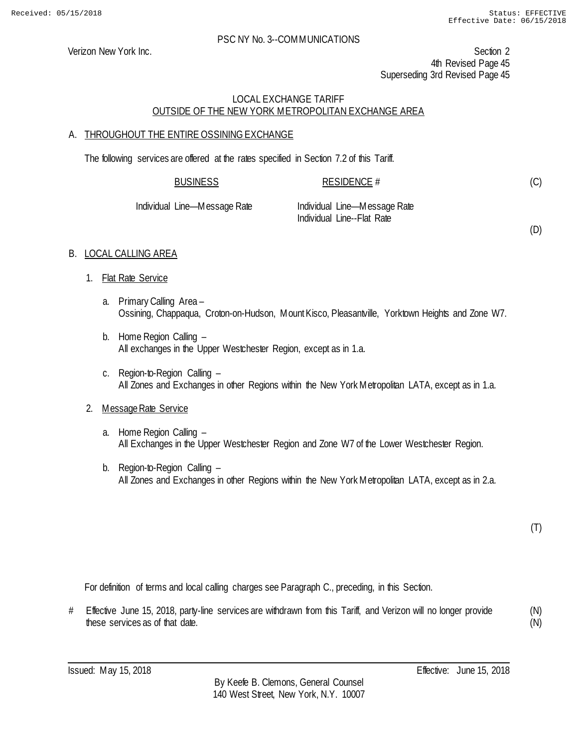(D)

#### PSC NY No. 3--COMMUNICATIONS

Verizon New York Inc. Section 2 4th Revised Page 45 Superseding 3rd Revised Page 45

# LOCAL EXCHANGE TARIFF OUTSIDE OF THE NEW YORK METROPOLITAN EXCHANGE AREA

# A. THROUGHOUT THE ENTIRE OSSINING EXCHANGE

The following services are offered at the rates specified in Section 7.2 of this Tariff.

| <b>BUSINESS</b>              | RESIDENCE #                                                |
|------------------------------|------------------------------------------------------------|
| Individual Line—Message Rate | Individual Line—Message Rate<br>Individual Line--Flat Rate |

# B. LOCAL CALLING AREA

- 1. Flat Rate Service
	- a. Primary Calling Area Ossining, Chappaqua, Croton-on-Hudson, Mount Kisco, Pleasantville, Yorktown Heights and Zone W7.
	- b. Home Region Calling All exchanges in the Upper Westchester Region, except as in 1.a.
	- c. Region-to-Region Calling All Zones and Exchanges in other Regions within the New York Metropolitan LATA, except as in 1.a.

# 2. Message Rate Service

- a. Home Region Calling All Exchanges in the Upper Westchester Region and Zone W7 of the Lower Westchester Region.
- b. Region-to-Region Calling All Zones and Exchanges in other Regions within the New York Metropolitan LATA, except as in 2.a.

(T)

For definition of terms and local calling charges see Paragraph C., preceding, in this Section.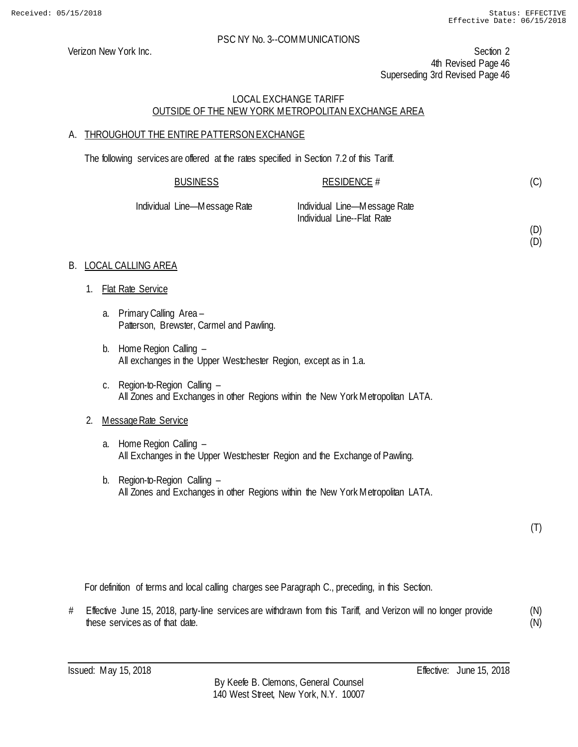(D) (D)

#### PSC NY No. 3--COMMUNICATIONS

Verizon New York Inc. Section 2 4th Revised Page 46 Superseding 3rd Revised Page 46

# LOCAL EXCHANGE TARIFF OUTSIDE OF THE NEW YORK METROPOLITAN EXCHANGE AREA

# A. THROUGHOUT THE ENTIRE PATTERSONEXCHANGE

The following services are offered at the rates specified in Section 7.2 of this Tariff.

| <u>BUSINESS</u>   | <b>RESIDENCE #</b>                                         |  |
|-------------------|------------------------------------------------------------|--|
| Line—Message Rate | Individual Line—Message Rate<br>Individual Line--Flat Rate |  |

#### B. LOCAL CALLING AREA

1. Flat Rate Service

Individual

- a. Primary Calling Area Patterson, Brewster, Carmel and Pawling.
- b. Home Region Calling All exchanges in the Upper Westchester Region, except as in 1.a.
- c. Region-to-Region Calling All Zones and Exchanges in other Regions within the New York Metropolitan LATA.

# 2. Message Rate Service

- a. Home Region Calling All Exchanges in the Upper Westchester Region and the Exchange of Pawling.
- b. Region-to-Region Calling All Zones and Exchanges in other Regions within the New York Metropolitan LATA.

For definition of terms and local calling charges see Paragraph C., preceding, in this Section.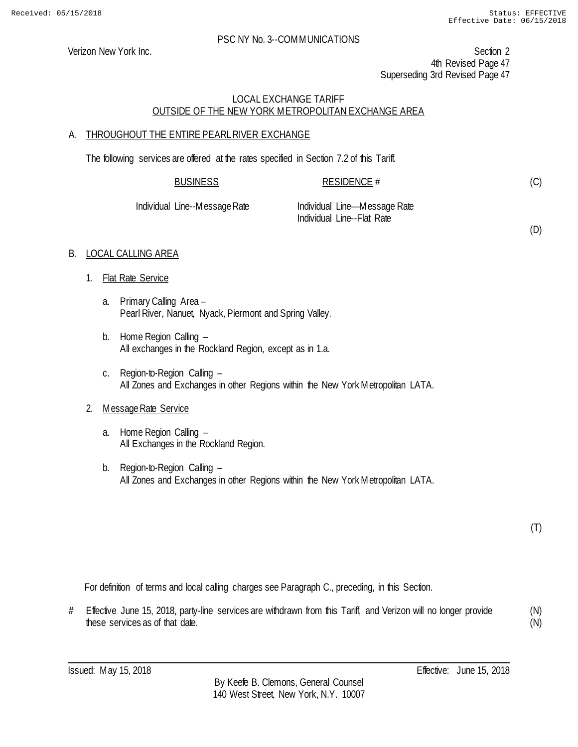(D)

#### PSC NY No. 3--COMMUNICATIONS

Verizon New York Inc. Section 2 4th Revised Page 47 Superseding 3rd Revised Page 47

# LOCAL EXCHANGE TARIFF OUTSIDE OF THE NEW YORK METROPOLITAN EXCHANGE AREA

# A. THROUGHOUT THE ENTIRE PEARL RIVER EXCHANGE

The following services are offered at the rates specified in Section 7.2 of this Tariff.

| <b>BUSINESS</b>               | RESIDENCE $#$                |  |
|-------------------------------|------------------------------|--|
| Individual Line--Message Rate | Individual Line—Message Rate |  |

Individual Line--Flat Rate

# B. LOCAL CALLING AREA

- 1. Flat Rate Service
	- a. Primary Calling Area Pearl River, Nanuet, Nyack, Piermont and Spring Valley.
	- b. Home Region Calling All exchanges in the Rockland Region, except as in 1.a.
	- c. Region-to-Region Calling All Zones and Exchanges in other Regions within the New York Metropolitan LATA.

# 2. Message Rate Service

- a. Home Region Calling All Exchanges in the Rockland Region.
- b. Region-to-Region Calling All Zones and Exchanges in other Regions within the New York Metropolitan LATA.

(T)

For definition of terms and local calling charges see Paragraph C., preceding, in this Section.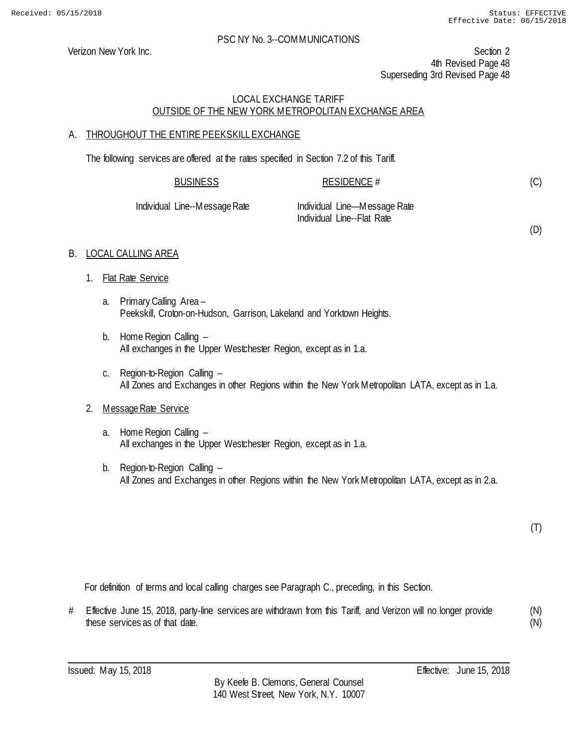Verizon New York Inc. Section 2 4th Revised Page 48 Superseding 3rd Revised Page 48

#### LOCAL EXCHANGE TARIFF OUTSIDE OF THE NEW YORK METROPOLITAN EXCHANGE AREA

#### A. THROUGHOUT THE ENTIRE PEEKSKILL EXCHANGE

The following services are offered at the rates specified in Section 7.2 of this Tariff.

| BUSINESS            | RESIDENCE #                    |  |
|---------------------|--------------------------------|--|
| L Line-Messane Rate | - Individual Line—Message Rate |  |

Individual Line--Message Rate Individual Line—Message Rate Individual Line--Flat Rate

(D)

(C)

# B. LOCAL CALLING AREA

- 1. Flat Rate Service
	- a. Primary Calling Area Peekskill, Croton-on-Hudson, Garrison, Lakeland and Yorktown Heights.
	- b. Home Region Calling All exchanges in the Upper Westchester Region, except as in 1.a.
	- c. Region-to-Region Calling All Zones and Exchanges in other Regions within the New York Metropolitan LATA, except as in 1.a.

# 2. Message Rate Service

- a. Home Region Calling All exchanges in the Upper Westchester Region, except as in 1.a.
- b. Region-to-Region Calling All Zones and Exchanges in other Regions within the New York Metropolitan LATA, except as in 2.a.

(T)

For definition of terms and local calling charges see Paragraph C., preceding, in this Section.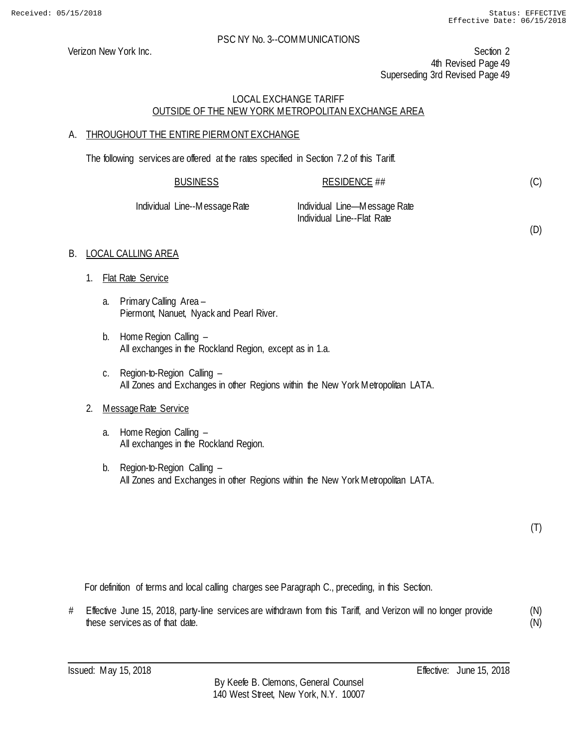Verizon New York Inc. Section 2 4th Revised Page 49 Superseding 3rd Revised Page 49

# LOCAL EXCHANGE TARIFF OUTSIDE OF THE NEW YORK METROPOLITAN EXCHANGE AREA

# A. THROUGHOUT THE ENTIRE PIERMONT EXCHANGE

The following services are offered at the rates specified in Section 7.2 of this Tariff.

|                               | <b>BUSINESS</b> | RESIDENCE $\#$                                             |  |
|-------------------------------|-----------------|------------------------------------------------------------|--|
| Individual Line--Message Rate |                 | Individual Line—Message Rate<br>Individual Line--Flat Rate |  |

# B. LOCAL CALLING AREA

- 1. Flat Rate Service
	- a. Primary Calling Area Piermont, Nanuet, Nyack and Pearl River.
	- b. Home Region Calling All exchanges in the Rockland Region, except as in 1.a.
	- c. Region-to-Region Calling All Zones and Exchanges in other Regions within the New York Metropolitan LATA.

# 2. Message Rate Service

- a. Home Region Calling All exchanges in the Rockland Region.
- b. Region-to-Region Calling All Zones and Exchanges in other Regions within the New York Metropolitan LATA.

(T)

(D)

For definition of terms and local calling charges see Paragraph C., preceding, in this Section.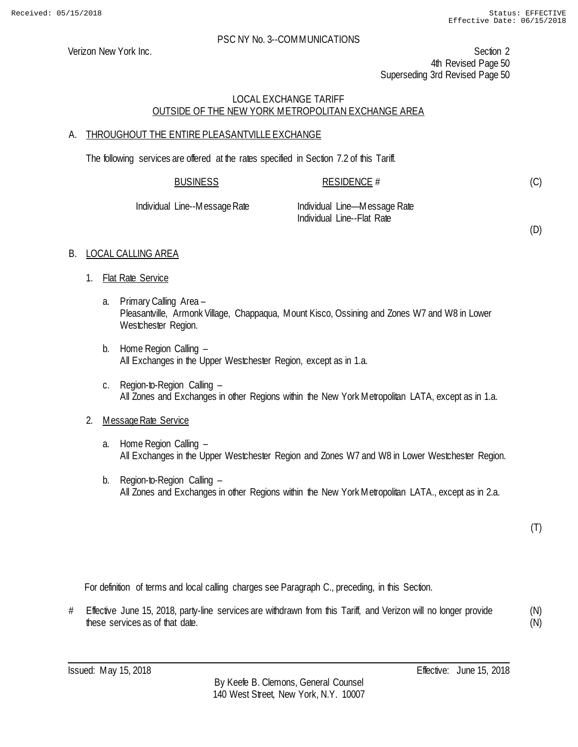Verizon New York Inc. Section 2 4th Revised Page 50 Superseding 3rd Revised Page 50

# LOCAL EXCHANGE TARIFF OUTSIDE OF THE NEW YORK METROPOLITAN EXCHANGE AREA

#### A. THROUGHOUT THE ENTIRE PLEASANTVILLE EXCHANGE

The following services are offered at the rates specified in Section 7.2 of this Tariff.

| <b>BUSINESS</b> | <b>RESIDENCE #</b> |
|-----------------|--------------------|
|                 |                    |

Individual Line--Message Rate Individual Line—Message Rate Individual Line--Flat Rate

(D)

(C)

# B. LOCAL CALLING AREA

- 1. Flat Rate Service
	- a. Primary Calling Area Pleasantville, Armonk Village, Chappaqua, Mount Kisco, Ossining and Zones W7 and W8 in Lower Westchester Region.
	- b. Home Region Calling All Exchanges in the Upper Westchester Region, except as in 1.a.
	- c. Region-to-Region Calling All Zones and Exchanges in other Regions within the New York Metropolitan LATA, except as in 1.a.

# 2. Message Rate Service

- a. Home Region Calling All Exchanges in the Upper Westchester Region and Zones W7 and W8 in Lower Westchester Region.
- b. Region-to-Region Calling All Zones and Exchanges in other Regions within the New York Metropolitan LATA., except as in 2.a.

(T)

For definition of terms and local calling charges see Paragraph C., preceding, in this Section.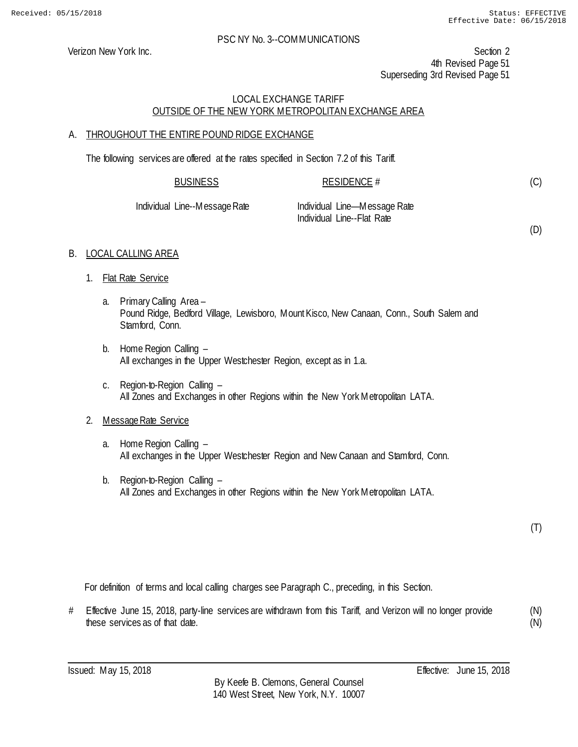Verizon New York Inc. Section 2 4th Revised Page 51 Superseding 3rd Revised Page 51

# LOCAL EXCHANGE TARIFF OUTSIDE OF THE NEW YORK METROPOLITAN EXCHANGE AREA

# A. THROUGHOUT THE ENTIRE POUND RIDGE EXCHANGE

The following services are offered at the rates specified in Section 7.2 of this Tariff.

| <b>BUSINESS</b> | <b>RESIDENCE #</b> |  |
|-----------------|--------------------|--|
|                 |                    |  |

Individual Line--Message Rate Individual Line—Message Rate Individual Line--Flat Rate

(D)

(C)

# B. LOCAL CALLING AREA

- 1. Flat Rate Service
	- a. Primary Calling Area Pound Ridge, Bedford Village, Lewisboro, Mount Kisco, New Canaan, Conn., South Salem and Stamford, Conn.
	- b. Home Region Calling All exchanges in the Upper Westchester Region, except as in 1.a.
	- c. Region-to-Region Calling All Zones and Exchanges in other Regions within the New York Metropolitan LATA.

# 2. Message Rate Service

- a. Home Region Calling All exchanges in the Upper Westchester Region and New Canaan and Stamford, Conn.
- b. Region-to-Region Calling All Zones and Exchanges in other Regions within the New York Metropolitan LATA.

(T)

For definition of terms and local calling charges see Paragraph C., preceding, in this Section.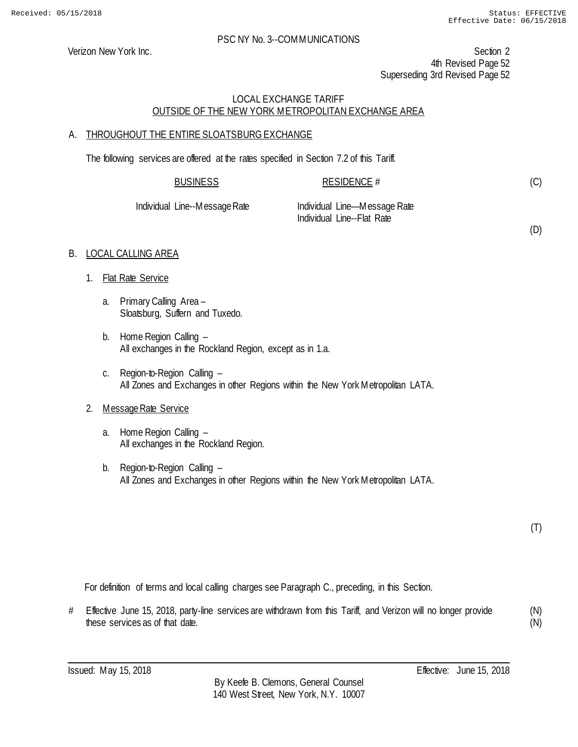(D)

#### PSC NY No. 3--COMMUNICATIONS

Verizon New York Inc. Section 2 4th Revised Page 52 Superseding 3rd Revised Page 52

# LOCAL EXCHANGE TARIFF OUTSIDE OF THE NEW YORK METROPOLITAN EXCHANGE AREA

# A. THROUGHOUT THE ENTIRE SLOATSBURG EXCHANGE

The following services are offered at the rates specified in Section 7.2 of this Tariff.

| <b>BUSINESS</b>               | RESIDENCE #                                                |
|-------------------------------|------------------------------------------------------------|
| Individual Line--Message Rate | Individual Line—Message Rate<br>Individual Line--Flat Rate |

# B. LOCAL CALLING AREA

- 1. Flat Rate Service
	- a. Primary Calling Area Sloatsburg, Suffern and Tuxedo.
	- b. Home Region Calling All exchanges in the Rockland Region, except as in 1.a.
	- c. Region-to-Region Calling All Zones and Exchanges in other Regions within the New York Metropolitan LATA.

# 2. Message Rate Service

- a. Home Region Calling All exchanges in the Rockland Region.
- b. Region-to-Region Calling All Zones and Exchanges in other Regions within the New York Metropolitan LATA.

(T)

For definition of terms and local calling charges see Paragraph C., preceding, in this Section.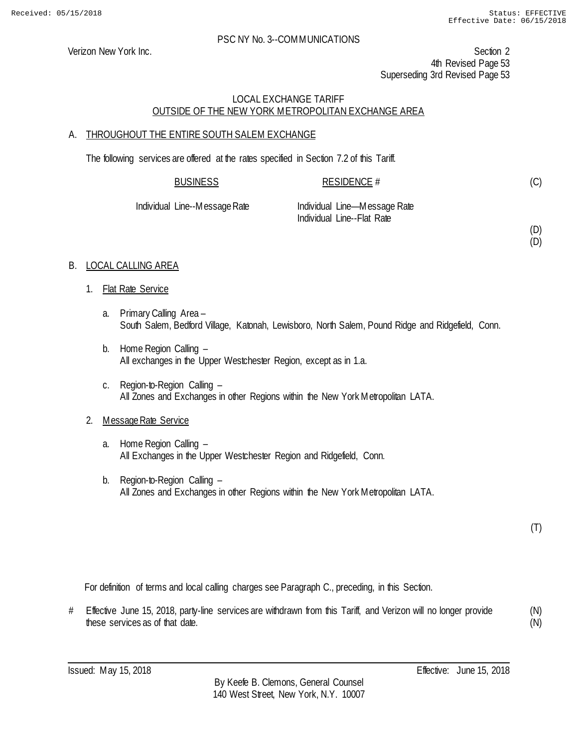Verizon New York Inc. Section 2 4th Revised Page 53 Superseding 3rd Revised Page 53

# LOCAL EXCHANGE TARIFF OUTSIDE OF THE NEW YORK METROPOLITAN EXCHANGE AREA

# A. THROUGHOUT THE ENTIRE SOUTH SALEM EXCHANGE

The following services are offered at the rates specified in Section 7.2 of this Tariff.

| <b>BUSINESS</b>    | RESIDENCE #                  |  |
|--------------------|------------------------------|--|
| Line--Message Rate | Individual Line—Message Rate |  |

Individual Line

Individual Line--Flat Rate

(D) (D)

(C)

# B. LOCAL CALLING AREA

- 1. Flat Rate Service
	- a. Primary Calling Area South Salem, Bedford Village, Katonah, Lewisboro, North Salem, Pound Ridge and Ridgefield, Conn.
	- b. Home Region Calling All exchanges in the Upper Westchester Region, except as in 1.a.
	- c. Region-to-Region Calling All Zones and Exchanges in other Regions within the New York Metropolitan LATA.

# 2. Message Rate Service

- a. Home Region Calling All Exchanges in the Upper Westchester Region and Ridgefield, Conn.
- b. Region-to-Region Calling All Zones and Exchanges in other Regions within the New York Metropolitan LATA.

(T)

For definition of terms and local calling charges see Paragraph C., preceding, in this Section.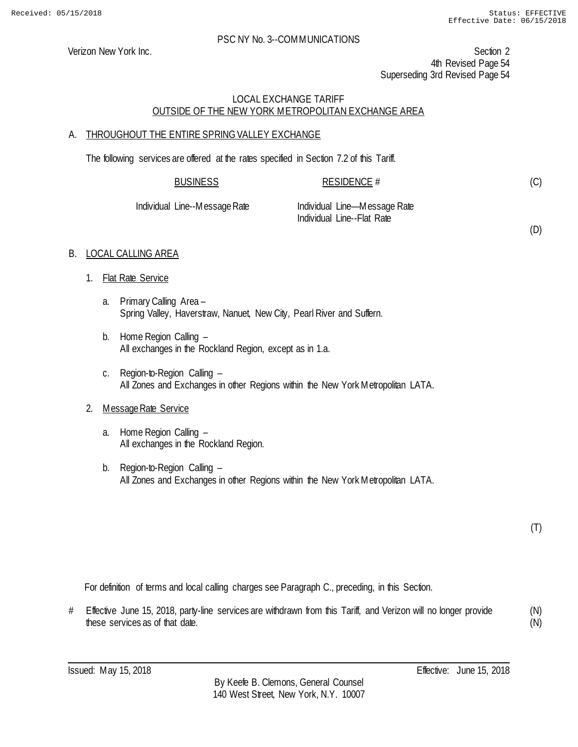Verizon New York Inc. Section 2 4th Revised Page 54 Superseding 3rd Revised Page 54

# LOCAL EXCHANGE TARIFF OUTSIDE OF THE NEW YORK METROPOLITAN EXCHANGE AREA

# A. THROUGHOUT THE ENTIRE SPRING VALLEY EXCHANGE

The following services are offered at the rates specified in Section 7.2 of this Tariff.

| <b>BUSINESS</b> | <b>RESIDENCE #</b> |
|-----------------|--------------------|
|                 |                    |

Individual Line--Message Rate Individual Line—Message Rate Individual Line--Flat Rate

(D)

(C)

# B. LOCAL CALLING AREA

- 1. Flat Rate Service
	- a. Primary Calling Area Spring Valley, Haverstraw, Nanuet, New City, Pearl River and Suffern.
	- b. Home Region Calling All exchanges in the Rockland Region, except as in 1.a.
	- c. Region-to-Region Calling All Zones and Exchanges in other Regions within the New York Metropolitan LATA.

# 2. Message Rate Service

- a. Home Region Calling All exchanges in the Rockland Region.
- b. Region-to-Region Calling All Zones and Exchanges in other Regions within the New York Metropolitan LATA.

(T)

For definition of terms and local calling charges see Paragraph C., preceding, in this Section.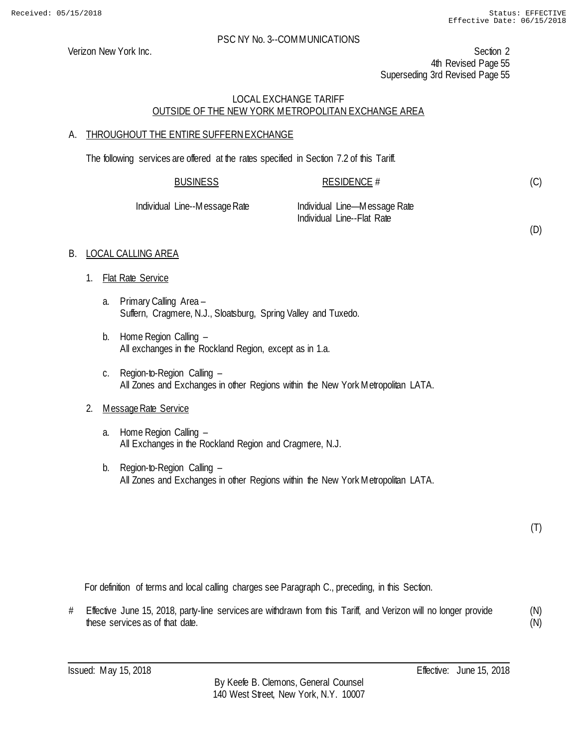(D)

#### PSC NY No. 3--COMMUNICATIONS

Verizon New York Inc. Section 2 4th Revised Page 55 Superseding 3rd Revised Page 55

# LOCAL EXCHANGE TARIFF OUTSIDE OF THE NEW YORK METROPOLITAN EXCHANGE AREA

# A. THROUGHOUT THE ENTIRE SUFFERN EXCHANGE

The following services are offered at the rates specified in Section 7.2 of this Tariff.

| <b>BUSINESS</b>               | RESIDENCE $#$                                              |  |
|-------------------------------|------------------------------------------------------------|--|
| Individual Line--Message Rate | Individual Line—Message Rate<br>Individual Line--Flat Rate |  |

# B. LOCAL CALLING AREA

- 1. Flat Rate Service
	- a. Primary Calling Area Suffern, Cragmere, N.J., Sloatsburg, Spring Valley and Tuxedo.
	- b. Home Region Calling All exchanges in the Rockland Region, except as in 1.a.
	- c. Region-to-Region Calling All Zones and Exchanges in other Regions within the New York Metropolitan LATA.

# 2. Message Rate Service

- a. Home Region Calling All Exchanges in the Rockland Region and Cragmere, N.J.
- b. Region-to-Region Calling All Zones and Exchanges in other Regions within the New York Metropolitan LATA.

(T)

For definition of terms and local calling charges see Paragraph C., preceding, in this Section.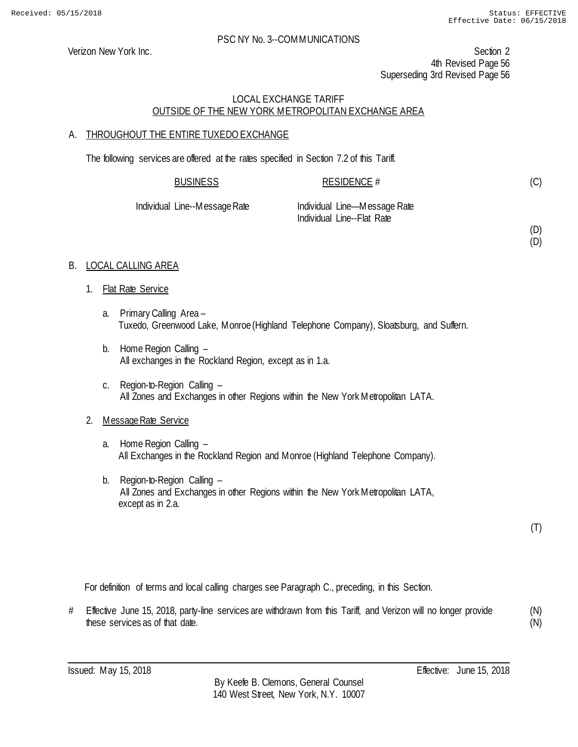(D) (D)

#### PSC NY No. 3--COMMUNICATIONS

Verizon New York Inc. Section 2 4th Revised Page 56 Superseding 3rd Revised Page 56

# LOCAL EXCHANGE TARIFF OUTSIDE OF THE NEW YORK METROPOLITAN EXCHANGE AREA

# A. THROUGHOUT THE ENTIRE TUXEDO EXCHANGE

The following services are offered at the rates specified in Section 7.2 of this Tariff.

| <b>BUSINESS</b>               | RESIDENCE #                  |  |
|-------------------------------|------------------------------|--|
| Individual Line--Message Rate | Individual Line—Message Rate |  |
|                               | Individual Line--Flat Rate   |  |

# B. LOCAL CALLING AREA

- 1. Flat Rate Service
	- a. Primary Calling Area Tuxedo, Greenwood Lake, Monroe (Highland Telephone Company), Sloatsburg, and Suffern.
	- b. Home Region Calling All exchanges in the Rockland Region, except as in 1.a.
	- c. Region-to-Region Calling All Zones and Exchanges in other Regions within the New York Metropolitan LATA.

# 2. Message Rate Service

- a. Home Region Calling All Exchanges in the Rockland Region and Monroe (Highland Telephone Company).
- b. Region-to-Region Calling All Zones and Exchanges in other Regions within the New York Metropolitan LATA, except as in 2.a.

(T)

For definition of terms and local calling charges see Paragraph C., preceding, in this Section.